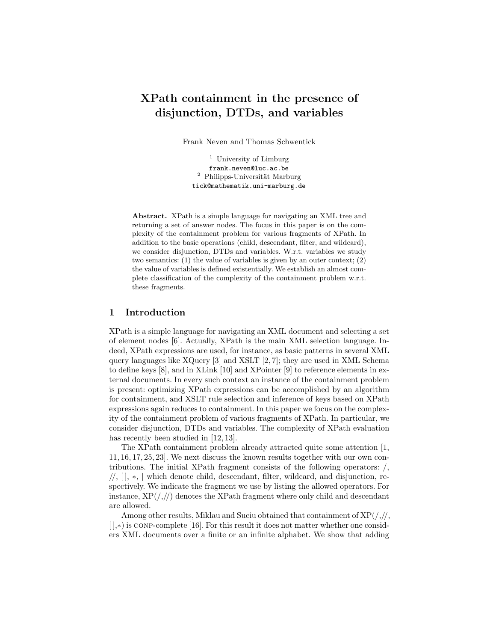# **XPath containment in the presence of disjunction, DTDs, and variables**

Frank Neven and Thomas Schwentick

<sup>1</sup> University of Limburg frank.neven@luc.ac.be  $2$  Philipps-Universität Marburg tick@mathematik.uni-marburg.de

**Abstract.** XPath is a simple language for navigating an XML tree and returning a set of answer nodes. The focus in this paper is on the complexity of the containment problem for various fragments of XPath. In addition to the basic operations (child, descendant, filter, and wildcard), we consider disjunction, DTDs and variables. W.r.t. variables we study two semantics: (1) the value of variables is given by an outer context; (2) the value of variables is defined existentially. We establish an almost complete classification of the complexity of the containment problem w.r.t. these fragments.

### **1 Introduction**

XPath is a simple language for navigating an XML document and selecting a set of element nodes [6]. Actually, XPath is the main XML selection language. Indeed, XPath expressions are used, for instance, as basic patterns in several XML query languages like XQuery [3] and XSLT [2, 7]; they are used in XML Schema to define keys [8], and in XLink [10] and XPointer [9] to reference elements in external documents. In every such context an instance of the containment problem is present: optimizing XPath expressions can be accomplished by an algorithm for containment, and XSLT rule selection and inference of keys based on XPath expressions again reduces to containment. In this paper we focus on the complexity of the containment problem of various fragments of XPath. In particular, we consider disjunction, DTDs and variables. The complexity of XPath evaluation has recently been studied in [12, 13].

The XPath containment problem already attracted quite some attention [1, 11, 16, 17, 25, 23]. We next discuss the known results together with our own contributions. The initial XPath fragment consists of the following operators: /,  $/$ ,  $[$ ,  $\ast$ ,  $\ast$  which denote child, descendant, filter, wildcard, and disjunction, respectively. We indicate the fragment we use by listing the allowed operators. For instance,  $XP(\frac{1}{\sqrt{2}})$  denotes the XPath fragment where only child and descendant are allowed.

Among other results, Miklau and Suciu obtained that containment of  $XP(\frac{1}{1},\frac{1}{1})$ [ ],∗) is conp-complete [16]. For this result it does not matter whether one considers XML documents over a finite or an infinite alphabet. We show that adding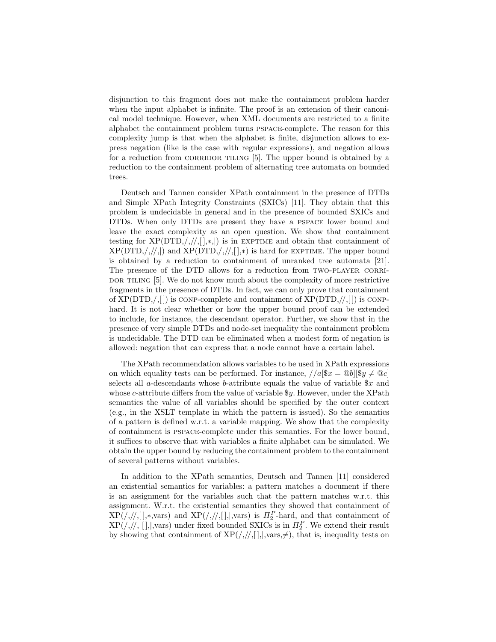disjunction to this fragment does not make the containment problem harder when the input alphabet is infinite. The proof is an extension of their canonical model technique. However, when XML documents are restricted to a finite alphabet the containment problem turns pspace-complete. The reason for this complexity jump is that when the alphabet is finite, disjunction allows to express negation (like is the case with regular expressions), and negation allows for a reduction from CORRIDOR TILING  $[5]$ . The upper bound is obtained by a reduction to the containment problem of alternating tree automata on bounded trees.

Deutsch and Tannen consider XPath containment in the presence of DTDs and Simple XPath Integrity Constraints (SXICs) [11]. They obtain that this problem is undecidable in general and in the presence of bounded SXICs and DTDs. When only DTDs are present they have a pspace lower bound and leave the exact complexity as an open question. We show that containment testing for  $XP(DTD, /, / /, [ \cdot , * , \cdot ])$  is in EXPTIME and obtain that containment of  $XP(DTD,/,//,|)$  and  $XP(DTD,/,//,|]$ ,\*) is hard for EXPTIME. The upper bound is obtained by a reduction to containment of unranked tree automata [21]. The presence of the DTD allows for a reduction from TWO-PLAYER CORRI- $\Delta$  DOR TILING [5]. We do not know much about the complexity of more restrictive fragments in the presence of DTDs. In fact, we can only prove that containment of  $XP(DTD, /, [1])$  is conp-complete and containment of  $XP(DTD, //, [1])$  is conphard. It is not clear whether or how the upper bound proof can be extended to include, for instance, the descendant operator. Further, we show that in the presence of very simple DTDs and node-set inequality the containment problem is undecidable. The DTD can be eliminated when a modest form of negation is allowed: negation that can express that a node cannot have a certain label.

The XPath recommendation allows variables to be used in XPath expressions on which equality tests can be performed. For instance,  $//a[\$x = \textcircled{b}][\$y \neq \textcircled{c}]$ selects all a-descendants whose b-attribute equals the value of variable  $x$  and whose  $c$ -attribute differs from the value of variable  $y$ . However, under the XPath semantics the value of all variables should be specified by the outer context (e.g., in the XSLT template in which the pattern is issued). So the semantics of a pattern is defined w.r.t. a variable mapping. We show that the complexity of containment is pspace-complete under this semantics. For the lower bound, it suffices to observe that with variables a finite alphabet can be simulated. We obtain the upper bound by reducing the containment problem to the containment of several patterns without variables.

In addition to the XPath semantics, Deutsch and Tannen [11] considered an existential semantics for variables: a pattern matches a document if there is an assignment for the variables such that the pattern matches w.r.t. this assignment. W.r.t. the existential semantics they showed that containment of  $XP(\frac{1}{2},\frac{1}{2},\frac{1}{2})$  and  $XP(\frac{1}{2},\frac{1}{2},\frac{1}{2})$  is  $\Pi_2^P$ -hard, and that containment of  $XP(\sqrt{1/2},[1],[{\rm vars})$  under fixed bounded SXICs is in  $\Pi_2^P$ . We extend their result by showing that containment of  $XP(\frac{1}{1}, \frac{1}{1}, \frac{1}{1}, \frac{1}{1}, \frac{1}{1}, \frac{1}{1}, \frac{1}{1}, \frac{1}{1}, \frac{1}{1}, \frac{1}{1}, \frac{1}{1}, \frac{1}{1}, \frac{1}{1}, \frac{1}{1}, \frac{1}{1}, \frac{1}{1}, \frac{1}{1}, \frac{1}{1}, \frac{1}{1}, \frac{1}{1}, \frac{1}{1}, \frac{1}{1}, \frac{1}{1}, \frac{1}{1}, \frac{1}{1}, \frac{1}{1}, \frac{1}{1$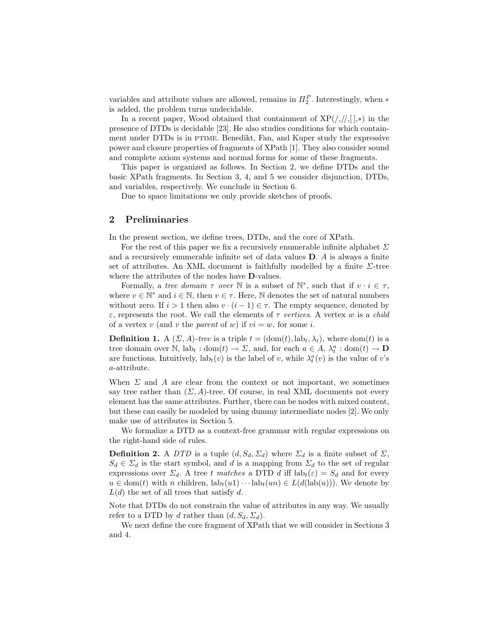variables and attribute values are allowed, remains in  $\Pi_2^P$ . Interestingly, when  $*$ is added, the problem turns undecidable.

In a recent paper, Wood obtained that containment of  $XP(\frac{1}{1},\frac{1}{2})$  in the presence of DTDs is decidable [23]. He also studies conditions for which containment under DTDs is in PTIME. Benedikt, Fan, and Kuper study the expressive power and closure properties of fragments of XPath [1]. They also consider sound and complete axiom systems and normal forms for some of these fragments.

This paper is organized as follows. In Section 2, we define DTDs and the basic XPath fragments. In Section 3, 4, and 5 we consider disjunction, DTDs, and variables, respectively. We conclude in Section 6.

Due to space limitations we only provide sketches of proofs.

#### **2 Preliminaries**

In the present section, we define trees, DTDs, and the core of XPath.

For the rest of this paper we fix a recursively enumerable infinite alphabet  $\Sigma$ and a recursively enumerable infinite set of data values **D**. A is always a finite set of attributes. An XML document is faithfully modelled by a finite  $\Sigma$ -tree where the attributes of the nodes have **D**-values.

Formally, a *tree domain*  $\tau$  *over* N is a subset of N<sup>\*</sup>, such that if  $v \cdot i \in \tau$ , where  $v \in \mathbb{N}^*$  and  $i \in \mathbb{N}$ , then  $v \in \tau$ . Here, N denotes the set of natural numbers without zero. If  $i > 1$  then also  $v \cdot (i - 1) \in \tau$ . The empty sequence, denoted by ε, represents the root. We call the elements of τ *vertices*. A vertex w is a *child* of a vertex v (and v the *parent* of w) if  $vi = w$ , for some i.

**Definition 1.** A  $(\Sigma, A)$ -tree is a triple  $t = (\text{dom}(t), \text{lab}_t, \lambda_t)$ , where  $\text{dom}(t)$  is a tree domain over  $\mathbb{N}$ ,  $\text{lab}_t : \text{dom}(t) \to \Sigma$ , and, for each  $a \in A$ ,  $\lambda_t^a : \text{dom}(t) \to \mathbf{D}$ are functions. Intuitively,  $\text{lab}_t(v)$  is the label of v, while  $\lambda_t^a(v)$  is the value of v's a-attribute.

When  $\Sigma$  and  $\overline{A}$  are clear from the context or not important, we sometimes say tree rather than  $(\Sigma, A)$ -tree. Of course, in real XML documents not every element has the same attributes. Further, there can be nodes with mixed content, but these can easily be modeled by using dummy intermediate nodes [2]. We only make use of attributes in Section 5.

We formalize a DTD as a context-free grammar with regular expressions on the right-hand side of rules.

**Definition 2.** A *DTD* is a tuple  $(d, S_d, \Sigma_d)$  where  $\Sigma_d$  is a finite subset of  $\Sigma$ ,  $S_d \in \Sigma_d$  is the start symbol, and d is a mapping from  $\Sigma_d$  to the set of regular expressions over  $\Sigma_d$ . A tree t matches a DTD d iff  $lab_t(\varepsilon) = S_d$  and for every  $u \in \text{dom}(t)$  with n children,  $\text{lab}_t(u_1) \cdots \text{lab}_t(u_n) \in L(d(\text{lab}(u)))$ . We denote by  $L(d)$  the set of all trees that satisfy d.

Note that DTDs do not constrain the value of attributes in any way. We usually refer to a DTD by d rather than  $(d, S_d, \Sigma_d)$ .

We next define the core fragment of XPath that we will consider in Sections 3 and 4.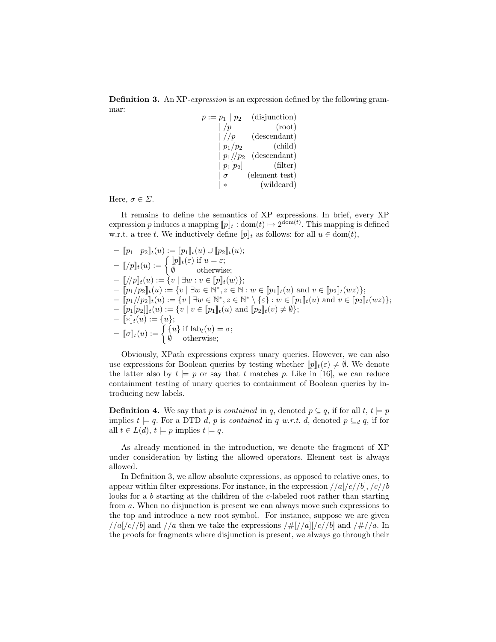**Definition 3.** An XP-*expression* is an expression defined by the following grammar:

| $p := p_1   p_2$ | (disjunction)     |
|------------------|-------------------|
| /p               | (root)            |
| $\frac{1}{p}$    | (descendant)      |
| $ p_1/p_2$       | (child)           |
| $ p_1 /p_2$      | (descendant)      |
| $ p_1[p_2] $     | $\text{(filter)}$ |
|                  | (element test)    |
| $\ast$           | (wildcard)        |

Here,  $\sigma \in \Sigma$ .

It remains to define the semantics of XP expressions. In brief, every XP expression p induces a mapping  $[p]_t : dom(t) \mapsto 2^{dom(t)}$ . This mapping is defined w.r.t. a tree t. We inductively define  $[p]_t$  as follows: for all  $u \in \text{dom}(t)$ ,

$$
\begin{aligned}\n&= \llbracket p_1 \mid p_2 \rrbracket_t(u) := \llbracket p_1 \rrbracket_t(u) \cup \llbracket p_2 \rrbracket_t(u);\n\\
&= \llbracket /p \rrbracket_t(u) := \begin{cases}\n\llbracket p \rrbracket_t(\varepsilon) & \text{if } u = \varepsilon; \\
\emptyset & \text{otherwise;} \\
&= \llbracket //p \rrbracket_t(u) := \{ v \mid \exists w : v \in \llbracket p \rrbracket_t(w) \}; \\
&= \llbracket p_1/p_2 \rrbracket_t(u) := \{ v \mid \exists w \in \mathbb{N}^*, z \in \mathbb{N} : w \in \llbracket p_1 \rrbracket_t(u) \text{ and } v \in \llbracket p_2 \rrbracket_t(wz) \}; \\
&= \llbracket p_1/p_2 \rrbracket_t(u) := \{ v \mid \exists w \in \mathbb{N}^*, z \in \mathbb{N}^* \setminus \{\varepsilon\} : w \in \llbracket p_1 \rrbracket_t(u) \text{ and } v \in \llbracket p_2 \rrbracket_t(wz) \}; \\
&= \llbracket p_1 \rrbracket p_2 \rrbracket_t(u) := \{ v \mid v \in \llbracket p_1 \rrbracket_t(u) \text{ and } \llbracket p_2 \rrbracket_t(v) \neq \emptyset \}; \\
&= \llbracket \ast \rrbracket_t(u) := \begin{cases}\n\{u\} & \text{if } \text{lab}_t(u) = \sigma; \\
\emptyset & \text{otherwise;} \\
\end{cases}\n\end{aligned}
$$

Obviously, XPath expressions express unary queries. However, we can also use expressions for Boolean queries by testing whether  $[\![p]\!]_t(\varepsilon) \neq \emptyset$ . We denote the latter also by  $t \models p$  or say that t matches p. Like in [16], we can reduce containment testing of unary queries to containment of Boolean queries by introducing new labels.

**Definition 4.** We say that p is *contained* in q, denoted  $p \subseteq q$ , if for all  $t, t \models p$ implies  $t \models q$ . For a DTD d, p is *contained* in q *w.r.t.* d, denoted  $p \subseteq_d q$ , if for all  $t \in L(d)$ ,  $t \models p$  implies  $t \models q$ .

As already mentioned in the introduction, we denote the fragment of XP under consideration by listing the allowed operators. Element test is always allowed.

In Definition 3, we allow absolute expressions, as opposed to relative ones, to appear within filter expressions. For instance, in the expression  $//a]/c//b$ ,  $/c//b$ looks for a b starting at the children of the c-labeled root rather than starting from a. When no disjunction is present we can always move such expressions to the top and introduce a new root symbol. For instance, suppose we are given  $/|a|/c|/b|$  and  $/|a|$  then we take the expressions  $/ \frac{1}{2}$   $/ |a|/c|/b|$  and  $/ \frac{1}{\sqrt{a}}$ . In the proofs for fragments where disjunction is present, we always go through their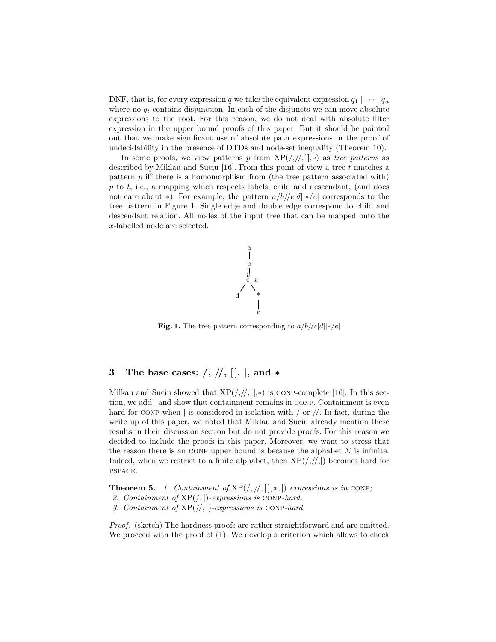DNF, that is, for every expression q we take the equivalent expression  $q_1 \mid \cdots \mid q_n$ where no  $q_i$  contains disjunction. In each of the disjuncts we can move absolute expressions to the root. For this reason, we do not deal with absolute filter expression in the upper bound proofs of this paper. But it should be pointed out that we make significant use of absolute path expressions in the proof of undecidability in the presence of DTDs and node-set inequality (Theorem 10).

In some proofs, we view patterns p from  $XP(\frac{1}{1},\frac{1}{2})$  as *tree patterns* as described by Miklau and Suciu [16]. From this point of view a tree  $t$  matches a pattern  $p$  iff there is a homomorphism from (the tree pattern associated with)  $p$  to  $t$ , i.e., a mapping which respects labels, child and descendant, (and does not care about \*). For example, the pattern  $a/b/(c|d|[*/e]$  corresponds to the tree pattern in Figure 1. Single edge and double edge correspond to child and descendant relation. All nodes of the input tree that can be mapped onto the x-labelled node are selected.



**Fig. 1.** The tree pattern corresponding to  $a/b//c[d][*/e]$ 

# **3 The base cases:** */***,** *//***,** [ ]**,** *|***, and** *∗*

Milkau and Suciu showed that  $XP(\frac{1}{1},\frac{1}{2})$  is CONP-complete [16]. In this section, we add | and show that containment remains in conp. Containment is even hard for CONP when | is considered in isolation with  $\frac{\partial (r)}{\partial x}$ . In fact, during the write up of this paper, we noted that Miklau and Suciu already mention these results in their discussion section but do not provide proofs. For this reason we decided to include the proofs in this paper. Moreover, we want to stress that the reason there is an CONP upper bound is because the alphabet  $\Sigma$  is infinite. Indeed, when we restrict to a finite alphabet, then  $XP(\frac{\pi}{\sqrt{2}})$  becomes hard for pspace.

**Theorem 5.** *1. Containment of*  $XP(\frac{1}{2}, \frac{1}{2})$ *, expressions is in CONP*;

- *2. Containment of* XP(/, |)*-expressions is* conp*-hard.*
- *3. Containment of* XP(//, |)*-expressions is* conp*-hard.*

*Proof.* (sketch) The hardness proofs are rather straightforward and are omitted. We proceed with the proof of  $(1)$ . We develop a criterion which allows to check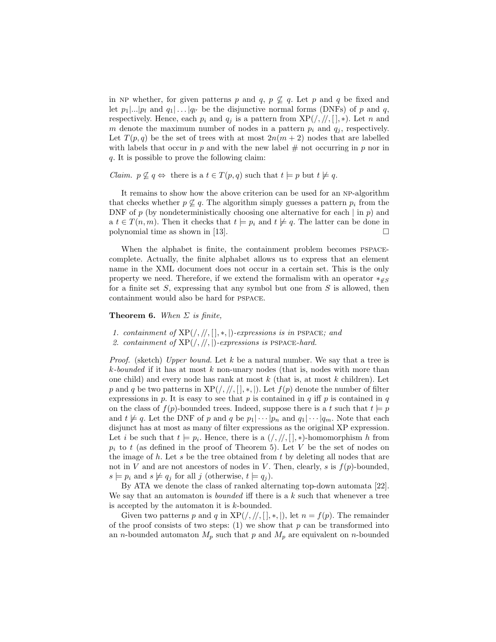in NP whether, for given patterns p and q,  $p \not\subseteq q$ . Let p and q be fixed and let  $p_1|...|p_l$  and  $q_1|...|q_{l'}$  be the disjunctive normal forms (DNFs) of p and q, respectively. Hence, each  $p_i$  and  $q_j$  is a pattern from  $XP(\frac{\pi}{2}, \frac{\pi}{2})$ . Let n and m denote the maximum number of nodes in a pattern  $p_i$  and  $q_j$ , respectively. Let  $T(p,q)$  be the set of trees with at most  $2n(m+2)$  nodes that are labelled with labels that occur in p and with the new label  $\#$  not occurring in p nor in q. It is possible to prove the following claim:

*Claim.*  $p \nsubseteq q \Leftrightarrow$  there is a  $t \in T(p,q)$  such that  $t \models p$  but  $t \not\models q$ .

It remains to show how the above criterion can be used for an np-algorithm that checks whether  $p \not\subseteq q$ . The algorithm simply guesses a pattern  $p_i$  from the DNF of  $p$  (by nondeterministically choosing one alternative for each  $\mid$  in  $p$ ) and a  $t \in T(n,m)$ . Then it checks that  $t \models p_i$  and  $t \not\models q$ . The latter can be done in polynomial time as shown in [13].  $\Box$ 

When the alphabet is finite, the containment problem becomes pspacecomplete. Actually, the finite alphabet allows us to express that an element name in the XML document does not occur in a certain set. This is the only property we need. Therefore, if we extend the formalism with an operator  $*_{\not\in S}$ for a finite set  $S$ , expressing that any symbol but one from  $S$  is allowed, then containment would also be hard for pspace.

**Theorem 6.** *When* Σ *is finite,*

- *1. containment of*  $XP(\frac{1}{2}, \frac{1}{2})$ *-expressions is in* PSPACE; and
- *2. containment of* XP(/, //, |)*-expressions is* pspace*-hard.*

*Proof.* (sketch) *Upper bound.* Let k be a natural number. We say that a tree is k*-bounded* if it has at most k non-unary nodes (that is, nodes with more than one child) and every node has rank at most  $k$  (that is, at most  $k$  children). Let p and q be two patterns in  $XP(\cdot, \frac{1}{2}, \frac{1}{2})$ . Let  $f(p)$  denote the number of filter expressions in  $p$ . It is easy to see that  $p$  is contained in  $q$  iff  $p$  is contained in  $q$ on the class of  $f(p)$ -bounded trees. Indeed, suppose there is a t such that  $t \models p$ and  $t \not\models q$ . Let the DNF of p and q be  $p_1|\cdots|p_n$  and  $q_1|\cdots|q_m$ . Note that each disjunct has at most as many of filter expressions as the original XP expression. Let i be such that  $t \models p_i$ . Hence, there is a  $(/, \# \text{)}$ ,  $| \cdot |$ , \*)-homomorphism h from  $p_i$  to t (as defined in the proof of Theorem 5). Let V be the set of nodes on the image of h. Let s be the tree obtained from t by deleting all nodes that are not in V and are not ancestors of nodes in V. Then, clearly, s is  $f(p)$ -bounded,  $s \models p_i$  and  $s \not\models q_j$  for all j (otherwise,  $t \models q_j$ ).

By ATA we denote the class of ranked alternating top-down automata [22]. We say that an automaton is *bounded* iff there is a k such that whenever a tree is accepted by the automaton it is k-bounded.

Given two patterns p and q in  $XP(\cdot, \frac{1}{n}, k, k)$ , let  $n = f(p)$ . The remainder of the proof consists of two steps:  $(1)$  we show that p can be transformed into an *n*-bounded automaton  $M_p$  such that p and  $M_p$  are equivalent on n-bounded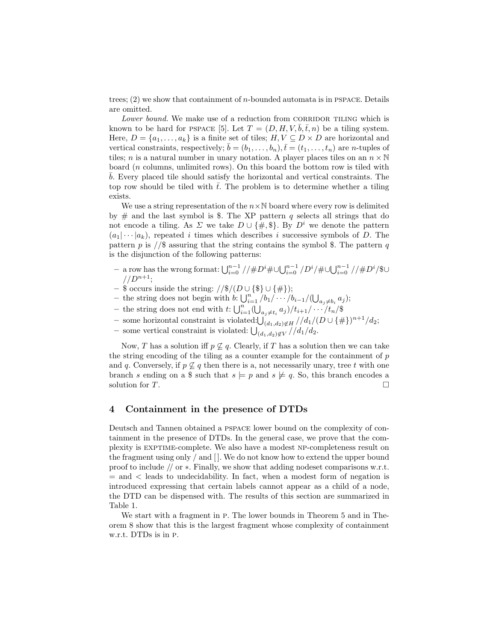trees;  $(2)$  we show that containment of *n*-bounded automata is in PSPACE. Details are omitted.

*Lower bound.* We make use of a reduction from CORRIDOR TILING which is known to be hard for PSPACE [5]. Let  $T = (D, H, V, \overline{b}, \overline{t}, n)$  be a tiling system. Here,  $D = \{a_1, \ldots, a_k\}$  is a finite set of tiles;  $H, V \subseteq D \times D$  are horizontal and vertical constraints, respectively;  $\bar{b} = (b_1, \ldots, b_n), \bar{t} = (t_1, \ldots, t_n)$  are *n*-tuples of tiles; *n* is a natural number in unary notation. A player places tiles on an  $n \times \mathbb{N}$ board (*n* columns, unlimited rows). On this board the bottom row is tiled with  $\bar{b}$ . Every placed tile should satisfy the horizontal and vertical constraints. The top row should be tiled with  $\bar{t}$ . The problem is to determine whether a tiling exists.

We use a string representation of the  $n \times N$  board where every row is delimited by  $\#$  and the last symbol is \$. The XP pattern q selects all strings that do not encode a tiling. As  $\Sigma$  we take  $D \cup \{\#, \$\}.$  By  $D^i$  we denote the pattern  $(a_1|\cdots|a_k)$ , repeated i times which describes i successive symbols of D. The pattern p is  $//\$  assuring that the string contains the symbol  $\$ . The pattern q is the disjunction of the following patterns:

- $-$  a row has the wrong format:  $\bigcup_{i=0}^{n-1} // \# D^i \# \cup \bigcup_{i=0}^{n-1} / D^i / \# \cup \bigcup_{i=0}^{n-1} // \# D^i /$ \$∪  $//D^{n+1};$
- **–** \$ occurs inside the string: //\$/(D ∪ {\$}∪{#});
- **–** the string does not begin with b: -n <sup>i</sup>=1 /b1/ ··· /b<sup>i</sup>−<sup>1</sup>/( aj -<sup>=</sup>b<sup>i</sup> <sup>a</sup><sup>j</sup> );
- the string does not end with  $t: \bigcup_{i=1}^n (\bigcup_{a_j \neq t_i}^n a_j)/t_{i+1}/ \cdots /t_n/\$$
- **−** some horizontal constraint is violated: $\bigcup_{(d_1,d_2)\notin H}^{d_1}/(d_1/(D \cup \{\#\})^{n+1}/d_2;$
- − some vertical constraint is violated:  $\bigcup_{(d_1,d_2)\notin V}/d_1/d_2$ .

Now, T has a solution iff  $p \nsubseteq q$ . Clearly, if T has a solution then we can take the string encoding of the tiling as a counter example for the containment of  $p$ and q. Conversely, if  $p \not\subseteq q$  then there is a, not necessarily unary, tree t with one branch s ending on a \$ such that  $s \models p$  and  $s \not\models q$ . So, this branch encodes a solution for  $T$ .

#### **4 Containment in the presence of DTDs**

Deutsch and Tannen obtained a pspace lower bound on the complexity of containment in the presence of DTDs. In the general case, we prove that the complexity is exptime-complete. We also have a modest np-completeness result on the fragment using only / and [ ]. We do not know how to extend the upper bound proof to include // or ∗. Finally, we show that adding nodeset comparisons w.r.t.  $=$  and  $\lt$  leads to undecidability. In fact, when a modest form of negation is introduced expressing that certain labels cannot appear as a child of a node, the DTD can be dispensed with. The results of this section are summarized in Table 1.

We start with a fragment in p. The lower bounds in Theorem 5 and in Theorem 8 show that this is the largest fragment whose complexity of containment w.r.t. DTDs is in p.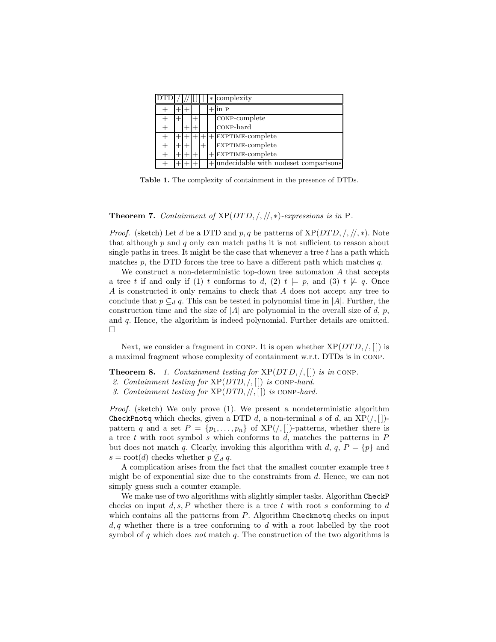|  |  | $\ast$ | complexity                                |
|--|--|--------|-------------------------------------------|
|  |  |        | in P                                      |
|  |  |        | CONP-complete                             |
|  |  |        | CONP-hard                                 |
|  |  |        | $\overline{\phantom{a}}$ EXPTIME-complete |
|  |  |        | EXPTIME-complete                          |
|  |  |        | EXPTIME-complete                          |
|  |  |        | undecidable with nodeset comparisons      |

**Table 1.** The complexity of containment in the presence of DTDs.

**Theorem 7.** *Containment of*  $XP(DTD, /, / /, *)$ *-expressions is in* P.

*Proof.* (sketch) Let d be a DTD and p, q be patterns of  $XP(DTD, /, / /, *)$ . Note that although  $p$  and  $q$  only can match paths it is not sufficient to reason about single paths in trees. It might be the case that whenever a tree  $t$  has a path which matches  $p$ , the DTD forces the tree to have a different path which matches  $q$ .

We construct a non-deterministic top-down tree automaton A that accepts a tree t if and only if (1) t conforms to d, (2)  $t \models p$ , and (3)  $t \not\models q$ . Once A is constructed it only remains to check that A does not accept any tree to conclude that  $p \subseteq_d q$ . This can be tested in polynomial time in |A|. Further, the construction time and the size of  $|A|$  are polynomial in the overall size of d, p, and q. Hence, the algorithm is indeed polynomial. Further details are omitted.  $\Box$ 

Next, we consider a fragment in CONP. It is open whether  $XP(DTD, /, []$  is a maximal fragment whose complexity of containment w.r.t. DTDs is in conp.

**Theorem 8.** *1. Containment testing for*  $XP(DTD, /, []$  *is in* CONP.

*2. Containment testing for* XP(*DTD*, /, [ ]) *is* conp*-hard.*

*3. Containment testing for* XP(*DTD*, //, [ ]) *is* conp*-hard.*

*Proof.* (sketch) We only prove (1). We present a nondeterministic algorithm CheckPnotq which checks, given a DTD d, a non-terminal s of d, an  $XP(/, [$ } pattern q and a set  $P = \{p_1, \ldots, p_n\}$  of  $XP(\vert)$ -patterns, whether there is a tree t with root symbol s which conforms to  $d$ , matches the patterns in  $P$ but does not match q. Clearly, invoking this algorithm with d, q,  $P = \{p\}$  and  $s = \text{root}(d)$  checks whether  $p \nsubseteq_d q$ .

A complication arises from the fact that the smallest counter example tree  $t$ might be of exponential size due to the constraints from  $d$ . Hence, we can not simply guess such a counter example.

We make use of two algorithms with slightly simpler tasks. Algorithm CheckP checks on input  $d, s, P$  whether there is a tree t with root s conforming to d which contains all the patterns from  $P$ . Algorithm Checknotq checks on input  $d, q$  whether there is a tree conforming to d with a root labelled by the root symbol of q which does *not* match q. The construction of the two algorithms is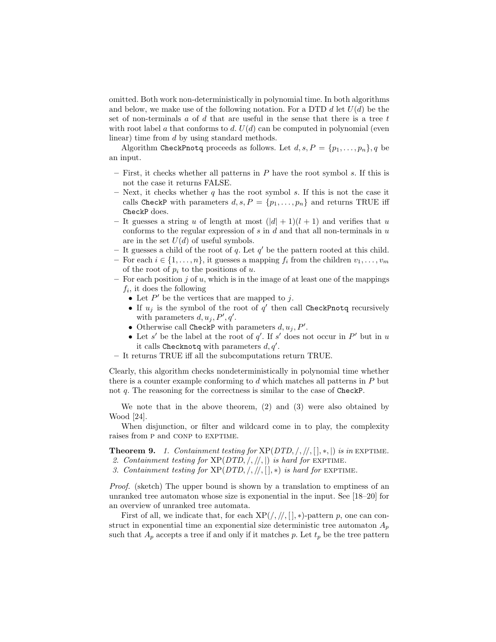omitted. Both work non-deterministically in polynomial time. In both algorithms and below, we make use of the following notation. For a DTD d let  $U(d)$  be the set of non-terminals  $a$  of  $d$  that are useful in the sense that there is a tree  $t$ with root label a that conforms to d.  $U(d)$  can be computed in polynomial (even linear) time from d by using standard methods.

Algorithm CheckPnotq proceeds as follows. Let  $d, s, P = \{p_1, \ldots, p_n\}, q$  be an input.

- **–** First, it checks whether all patterns in P have the root symbol s. If this is not the case it returns FALSE.
- **–** Next, it checks whether q has the root symbol s. If this is not the case it calls CheckP with parameters  $d, s, P = \{p_1, \ldots, p_n\}$  and returns TRUE iff CheckP does.
- It guesses a string u of length at most  $(|d| + 1)(l + 1)$  and verifies that u conforms to the regular expression of s in d and that all non-terminals in  $u$ are in the set  $U(d)$  of useful symbols.
- It guesses a child of the root of q. Let  $q'$  be the pattern rooted at this child.
- **−** For each  $i \in \{1, \ldots, n\}$ , it guesses a mapping  $f_i$  from the children  $v_1, \ldots, v_m$ of the root of  $p_i$  to the positions of u.
- **–** For each position j of u, which is in the image of at least one of the mappings  $f_i$ , it does the following
	- Let  $P'$  be the vertices that are mapped to j.
	- If  $u_j$  is the symbol of the root of  $q'$  then call CheckPnotq recursively with parameters  $d, u_j, P', q'.$
	- Otherwise call CheckP with parameters  $d, u_j, P'$ .
	- Let s' be the label at the root of  $q'$ . If s' does not occur in P' but in u it calls Checknotq with parameters  $d, q'$ .
- **–** It returns TRUE iff all the subcomputations return TRUE.

Clearly, this algorithm checks nondeterministically in polynomial time whether there is a counter example conforming to  $d$  which matches all patterns in  $P$  but not q. The reasoning for the correctness is similar to the case of CheckP.

We note that in the above theorem, (2) and (3) were also obtained by Wood [24].

When disjunction, or filter and wildcard come in to play, the complexity raises from p and conp to exptime.

**Theorem 9.** *1. Containment testing for*  $XP(DTD, /, / /, [], *, |)$  *is in* EXPTIME.

- 2. Containment testing for  $XP(DTD, /, / /, |)$  *is hard for* EXPTIME.
- *3. Containment testing for*  $XP(DTD, /, //,[],*)$  *is hard for* EXPTIME.

*Proof.* (sketch) The upper bound is shown by a translation to emptiness of an unranked tree automaton whose size is exponential in the input. See [18–20] for an overview of unranked tree automata.

First of all, we indicate that, for each  $XP(\frac{\pi}{2}, \frac{\pi}{2})$ -pattern p, one can construct in exponential time an exponential size deterministic tree automaton  $A_p$ such that  $A_p$  accepts a tree if and only if it matches p. Let  $t_p$  be the tree pattern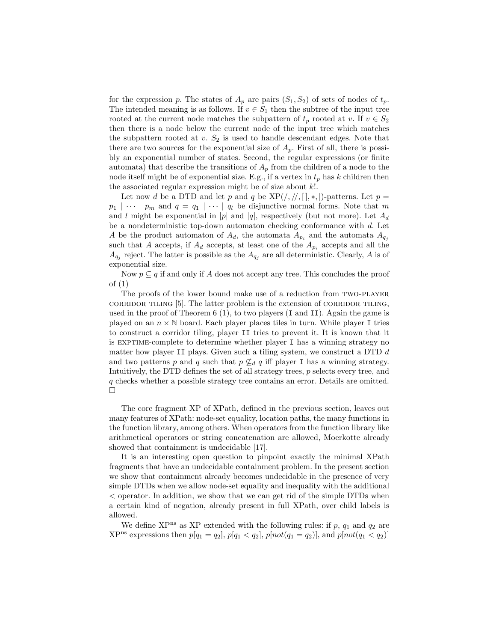for the expression p. The states of  $A_p$  are pairs  $(S_1, S_2)$  of sets of nodes of  $t_p$ . The intended meaning is as follows. If  $v \in S_1$  then the subtree of the input tree rooted at the current node matches the subpattern of  $t_p$  rooted at v. If  $v \in S_2$ then there is a node below the current node of the input tree which matches the subpattern rooted at  $v. S_2$  is used to handle descendant edges. Note that there are two sources for the exponential size of  $A_p$ . First of all, there is possibly an exponential number of states. Second, the regular expressions (or finite automata) that describe the transitions of  $A_p$  from the children of a node to the node itself might be of exponential size. E.g., if a vertex in  $t_p$  has k children then the associated regular expression might be of size about  $k!$ .

Let now d be a DTD and let p and q be  $XP(\frac{1}{1}, \frac{1}{1}, \frac{1}{2})$ -patterns. Let  $p =$  $p_1 \mid \cdots \mid p_m$  and  $q = q_1 \mid \cdots \mid q_l$  be disjunctive normal forms. Note that m and l might be exponential in |p| and |q|, respectively (but not more). Let  $A_d$ be a nondeterministic top-down automaton checking conformance with d. Let A be the product automaton of  $A_d$ , the automata  $A_{p_i}$  and the automata  $A_{q_i}$ such that A accepts, if  $A_d$  accepts, at least one of the  $A_{p_i}$  accepts and all the  $A_{q_j}$  reject. The latter is possible as the  $A_{q_j}$  are all deterministic. Clearly, A is of exponential size.

Now  $p \subset q$  if and only if A does not accept any tree. This concludes the proof of (1)

The proofs of the lower bound make use of a reduction from TWO-PLAYER corridor tiling  $[5]$ . The latter problem is the extension of CORRIDOR TILING, used in the proof of Theorem  $6(1)$ , to two players  $(I \text{ and } II)$ . Again the game is played on an  $n \times N$  board. Each player places tiles in turn. While player I tries to construct a corridor tiling, player II tries to prevent it. It is known that it is exptime-complete to determine whether player I has a winning strategy no matter how player II plays. Given such a tiling system, we construct a DTD  $d$ and two patterns p and q such that  $p \nsubseteq_d q$  iff player I has a winning strategy. Intuitively, the DTD defines the set of all strategy trees, p selects every tree, and q checks whether a possible strategy tree contains an error. Details are omitted.  $\Box$ 

The core fragment XP of XPath, defined in the previous section, leaves out many features of XPath: node-set equality, location paths, the many functions in the function library, among others. When operators from the function library like arithmetical operators or string concatenation are allowed, Moerkotte already showed that containment is undecidable [17].

It is an interesting open question to pinpoint exactly the minimal XPath fragments that have an undecidable containment problem. In the present section we show that containment already becomes undecidable in the presence of very simple DTDs when we allow node-set equality and inequality with the additional < operator. In addition, we show that we can get rid of the simple DTDs when a certain kind of negation, already present in full XPath, over child labels is allowed.

We define  $XP<sup>ns</sup>$  as  $XP$  extended with the following rules: if p,  $q_1$  and  $q_2$  are  $XP<sup>ns</sup>$  expressions then  $p[q_1 = q_2], p[q_1 < q_2], p[not(q_1 = q_2)],$  and  $p[not(q_1 < q_2)]$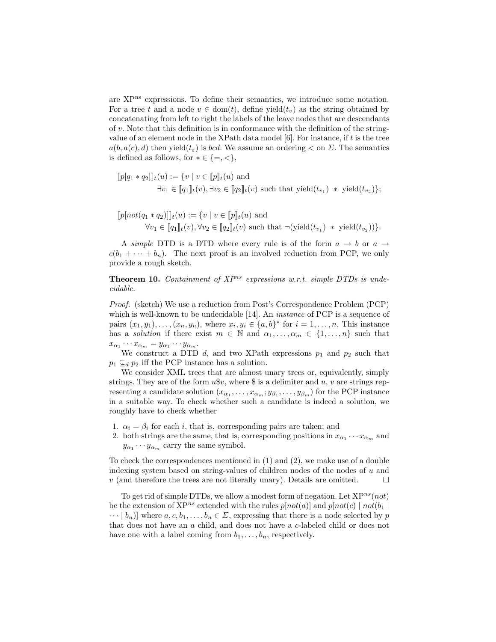are XPns expressions. To define their semantics, we introduce some notation. For a tree t and a node  $v \in \text{dom}(t)$ , define yield $(t_v)$  as the string obtained by concatenating from left to right the labels of the leave nodes that are descendants of  $v$ . Note that this definition is in conformance with the definition of the stringvalue of an element node in the XPath data model [6]. For instance, if t is the tree  $a(b, a(c), d)$  then yield $(t<sub>\varepsilon</sub>)$  is *bcd*. We assume an ordering  $<$  on  $\Sigma$ . The semantics is defined as follows, for  $* \in \{ =, < \},\$ 

$$
[p[q_1 * q_2]]_t(u) := \{v \mid v \in [p]_t(u) \text{ and}
$$
  

$$
\exists v_1 \in [q_1]_t(v), \exists v_2 \in [q_2]_t(v) \text{ such that } yield(t_{v_1}) * yield(t_{v_2})\};
$$

$$
[p[not(q_1 * q_2)]]_t(u) := \{v \mid v \in [p]_t(u) \text{ and}
$$
  

$$
\forall v_1 \in [q_1]_t(v), \forall v_2 \in [q_2]_t(v) \text{ such that } \neg(\text{yield}(t_{v_1}) * \text{ yield}(t_{v_2}))\}.
$$

A *simple* DTD is a DTD where every rule is of the form  $a \rightarrow b$  or  $a \rightarrow$  $c(b_1 + \cdots + b_n)$ . The next proof is an involved reduction from PCP, we only provide a rough sketch.

**Theorem 10.** *Containment of XP*ns *expressions w.r.t. simple DTDs is undecidable.*

*Proof.* (sketch) We use a reduction from Post's Correspondence Problem (PCP) which is well-known to be undecidable [14]. An *instance* of PCP is a sequence of pairs  $(x_1, y_1), \ldots, (x_n, y_n)$ , where  $x_i, y_i \in \{a, b\}^*$  for  $i = 1, \ldots, n$ . This instance has a *solution* if there exist  $m \in \mathbb{N}$  and  $\alpha_1, \ldots, \alpha_m \in \{1, \ldots, n\}$  such that  $x_{\alpha_1} \cdots x_{\alpha_m} = y_{\alpha_1} \cdots y_{\alpha_m}.$ 

We construct a DTD d, and two XPath expressions  $p_1$  and  $p_2$  such that  $p_1 \subseteq_d p_2$  iff the PCP instance has a solution.

We consider XML trees that are almost unary trees or, equivalently, simply strings. They are of the form  $u\$ r, where  $\frac{1}{2}$  is a delimiter and  $u, v$  are strings representing a candidate solution  $(x_{\alpha_1},...,x_{\alpha_m};y_{\beta_1},...,y_{\beta_m})$  for the PCP instance in a suitable way. To check whether such a candidate is indeed a solution, we roughly have to check whether

- 1.  $\alpha_i = \beta_i$  for each i, that is, corresponding pairs are taken; and
- 2. both strings are the same, that is, corresponding positions in  $x_{\alpha_1} \cdots x_{\alpha_m}$  and  $y_{\alpha_1} \cdots y_{\alpha_m}$  carry the same symbol.

To check the correspondences mentioned in (1) and (2), we make use of a double indexing system based on string-values of children nodes of the nodes of  $u$  and v (and therefore the trees are not literally unary). Details are omitted.  $\square$ 

To get rid of simple DTDs, we allow a modest form of negation. Let  $XP^{ns}(not)$ be the extension of  $XP^{ns}$  extended with the rules  $p[not(a)]$  and  $p[not(c)]$  not $(b_1)$  $\cdots | b_n]$  where  $a, c, b_1, \ldots, b_n \in \Sigma$ , expressing that there is a node selected by p that does not have an a child, and does not have a c-labeled child or does not have one with a label coming from  $b_1, \ldots, b_n$ , respectively.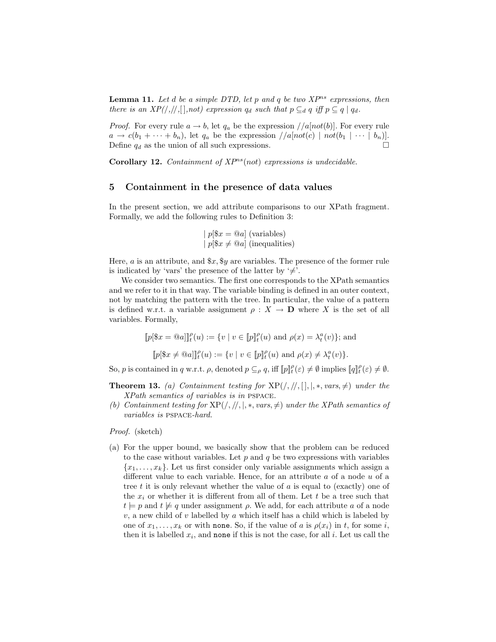**Lemma 11.** *Let* d *be a simple DTD, let* p *and* q *be two XP*ns *expressions, then there is an XP(/,//,*[],*not)* expression  $q_d$  such that  $p \subseteq d$  q iff  $p \subseteq q | q_d$ .

*Proof.* For every rule  $a \to b$ , let  $q_a$  be the expression  $//a[not(b)]$ . For every rule  $a \to c(b_1 + \cdots + b_n)$ , let  $q_a$  be the expression  $//a[not(c) | not(b_1 | \cdots | b_n)].$ Define  $q_d$  as the union of all such expressions.

**Corollary 12.** *Containment of XP*ns(not) *expressions is undecidable.*

#### **5 Containment in the presence of data values**

In the present section, we add attribute comparisons to our XPath fragment. Formally, we add the following rules to Definition 3:

$$
| p[\$x = @a] (variables)
$$
  

$$
| p[\$x \neq @a] (inequalities)
$$

Here, a is an attribute, and  $x, xy$  are variables. The presence of the former rule is indicated by 'vars' the presence of the latter by  $\neq$ '.

We consider two semantics. The first one corresponds to the XPath semantics and we refer to it in that way. The variable binding is defined in an outer context, not by matching the pattern with the tree. In particular, the value of a pattern is defined w.r.t. a variable assignment  $\rho: X \to \mathbf{D}$  where X is the set of all variables. Formally,

$$
[p[\$x = @a]]_t^{\rho}(u) := \{v \mid v \in [p]_t^{\rho}(u) \text{ and } \rho(x) = \lambda_t^a(v)\}; \text{ and}
$$

$$
[p[\$x \neq @a]]_t^{\rho}(u) := \{v \mid v \in [p]_t^{\rho}(u) \text{ and } \rho(x) \neq \lambda_t^a(v)\}.
$$

So, p is contained in q w.r.t.  $\rho$ , denoted  $p \subseteq_{\rho} q$ , iff  $[\![p]\!]_t^{\rho}(\varepsilon) \neq \emptyset$  implies  $[\![q]\!]_t^{\rho}(\varepsilon) \neq \emptyset$ .

**Theorem 13.** (a) Containment testing for  $\text{XP}(/, / / /, []$ ,  $|, *, \text{vars}, \neq)$  under the *XPath semantics of variables is in* pspace*.*

*(b)* Containment testing for  $XP(\frac{1}{2}, \frac{1}{2})$ , \*, *vars*,  $\neq$  *under the XPath semantics of variables is* pspace*-hard.*

*Proof.* (sketch)

(a) For the upper bound, we basically show that the problem can be reduced to the case without variables. Let  $p$  and  $q$  be two expressions with variables  ${x_1, \ldots, x_k}$ . Let us first consider only variable assignments which assign a different value to each variable. Hence, for an attribute  $a$  of a node  $u$  of a tree  $t$  it is only relevant whether the value of  $a$  is equal to (exactly) one of the  $x_i$  or whether it is different from all of them. Let t be a tree such that  $t \models p$  and  $t \not\models q$  under assignment  $\rho$ . We add, for each attribute a of a node v, a new child of v labelled by a which itself has a child which is labeled by one of  $x_1, \ldots, x_k$  or with none. So, if the value of a is  $\rho(x_i)$  in t, for some i, then it is labelled  $x_i$ , and none if this is not the case, for all i. Let us call the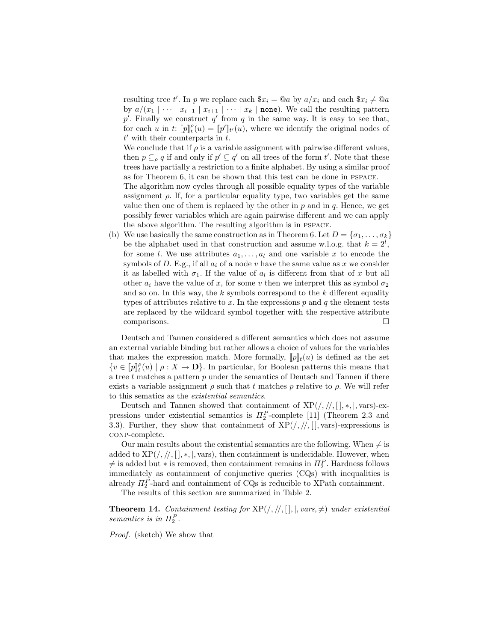resulting tree t'. In p we replace each  $x_i = \textcircled{a}$  by  $a/x_i$  and each  $x_i \neq \textcircled{a}$ by  $a/(x_1 \mid \cdots \mid x_{i-1} \mid x_{i+1} \mid \cdots \mid x_k \mid \text{none})$ . We call the resulting pattern p'. Finally we construct q' from q in the same way. It is easy to see that, for each u in t:  $[p]_t^{\rho}(u) = [p']_{t'}(u)$ , where we identify the original nodes of  $t'$  with their counterparts in  $t$ .

We conclude that if  $\rho$  is a variable assignment with pairwise different values, then  $p \subseteq_{\rho} q$  if and only if  $p' \subseteq q'$  on all trees of the form t'. Note that these trees have partially a restriction to a finite alphabet. By using a similar proof as for Theorem 6, it can be shown that this test can be done in pspace.

The algorithm now cycles through all possible equality types of the variable assignment  $\rho$ . If, for a particular equality type, two variables get the same value then one of them is replaced by the other in  $p$  and in  $q$ . Hence, we get possibly fewer variables which are again pairwise different and we can apply the above algorithm. The resulting algorithm is in pspace.

(b) We use basically the same construction as in Theorem 6. Let  $D = {\sigma_1, \ldots, \sigma_k}$ be the alphabet used in that construction and assume w.l.o.g. that  $k = 2^l$ , for some l. We use attributes  $a_1, \ldots, a_l$  and one variable x to encode the symbols of D. E.g., if all  $a_i$  of a node v have the same value as x we consider it as labelled with  $\sigma_1$ . If the value of  $a_l$  is different from that of x but all other  $a_i$  have the value of x, for some v then we interpret this as symbol  $\sigma_2$ and so on. In this way, the  $k$  symbols correspond to the  $k$  different equality types of attributes relative to  $x$ . In the expressions  $p$  and  $q$  the element tests are replaced by the wildcard symbol together with the respective attribute comparisons.

Deutsch and Tannen considered a different semantics which does not assume an external variable binding but rather allows a choice of values for the variables that makes the expression match. More formally,  $[\![p]\!]_t(u)$  is defined as the set  $\{v \in [p]_t^{\rho}(u) \mid \rho: X \to \mathbf{D}\}\.$  In particular, for Boolean patterns this means that a tree  $t$  matches a pattern  $p$  under the semantics of Deutsch and Tannen if there exists a variable assignment  $\rho$  such that t matches p relative to  $\rho$ . We will refer to this sematics as the *existential semantics*.

Deutsch and Tannen showed that containment of  $XP(\frac{1}{1},\frac{1}{2},\frac{1}{2})$ , vars)-expressions under existential semantics is  $\Pi_2^P$ -complete [11] (Theorem 2.3 and 3.3). Further, they show that containment of  $XP(\frac{\pi}{2}, \frac{\pi}{2})$ -expressions is conp-complete.

Our main results about the existential semantics are the following. When  $\neq$  is added to  $XP(\frac{1}{2}, \frac{1}{2}, \frac{1}{2}, \frac{1}{2})$ , vars), then containment is undecidable. However, when - $\neq$  is added but  $*$  is removed, then containment remains in  $\Pi_2^P$ . Hardness follows immediately as containment of conjunctive queries (CQs) with inequalities is already  $\Pi_2^{\vec{P}}$ -hard and containment of CQs is reducible to XPath containment.

The results of this section are summarized in Table 2.

**Theorem 14.** *Containment testing for*  $XP(/, / / /, [], |, vars, \neq)$  *under existential semantics is in*  $\Pi_2^P$ .

*Proof.* (sketch) We show that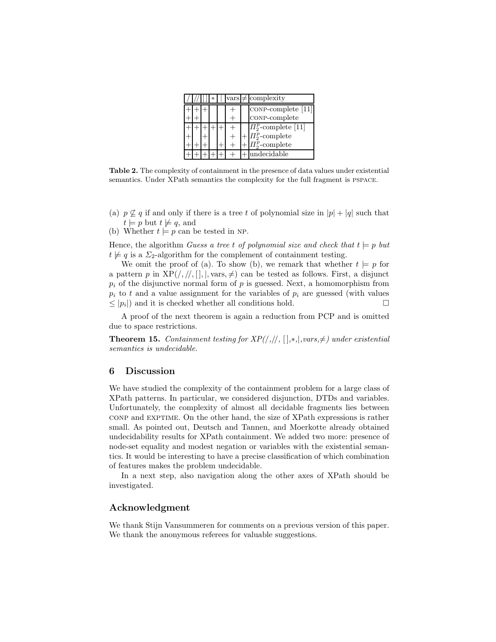|  | $^{\ast}$ |  | $\text{vars} \neq \text{complexity}$ |
|--|-----------|--|--------------------------------------|
|  |           |  | $\text{CONF-complete } [11]$         |
|  |           |  | CONP-complete                        |
|  |           |  | $\Pi_2^p$ -complete [11]             |
|  |           |  | $\Pi_2^{\overline{p}}$ -complete     |
|  |           |  | $\Pi_2^{\overline{p}}$ -complete     |
|  |           |  | undecidable                          |

**Table 2.** The complexity of containment in the presence of data values under existential semantics. Under XPath semantics the complexity for the full fragment is pspace.

- (a)  $p \not\subseteq q$  if and only if there is a tree t of polynomial size in  $|p| + |q|$  such that  $t \models p$  but  $t \not\models q$ , and
- (b) Whether  $t \models p$  can be tested in NP.

Hence, the algorithm *Guess a tree t of polynomial size and check that*  $t \models p$  *but*  $t \not\models q$  is a  $\Sigma_2$ -algorithm for the complement of containment testing.

We omit the proof of (a). To show (b), we remark that whether  $t \models p$  for a pattern p in  $XP(\frac{1}{1}, \frac{1}{1})$ , vars,  $\neq$  can be tested as follows. First, a disjunct  $p_i$  of the disjunctive normal form of p is guessed. Next, a homomorphism from  $p_i$  to t and a value assignment for the variables of  $p_i$  are guessed (with values  $\leq$  |p<sub>i</sub>|) and it is checked whether all conditions hold.

A proof of the next theorem is again a reduction from PCP and is omitted due to space restrictions.

**Theorem 15.** *Containment testing for*  $XP(/,)//$ *,*  $[ |, *, |, vars, \neq )$  *under existential semantics is undecidable.*

#### **6 Discussion**

We have studied the complexity of the containment problem for a large class of XPath patterns. In particular, we considered disjunction, DTDs and variables. Unfortunately, the complexity of almost all decidable fragments lies between conp and exptime. On the other hand, the size of XPath expressions is rather small. As pointed out, Deutsch and Tannen, and Moerkotte already obtained undecidability results for XPath containment. We added two more: presence of node-set equality and modest negation or variables with the existential semantics. It would be interesting to have a precise classification of which combination of features makes the problem undecidable.

In a next step, also navigation along the other axes of XPath should be investigated.

### **Acknowledgment**

We thank Stijn Vansummeren for comments on a previous version of this paper. We thank the anonymous referees for valuable suggestions.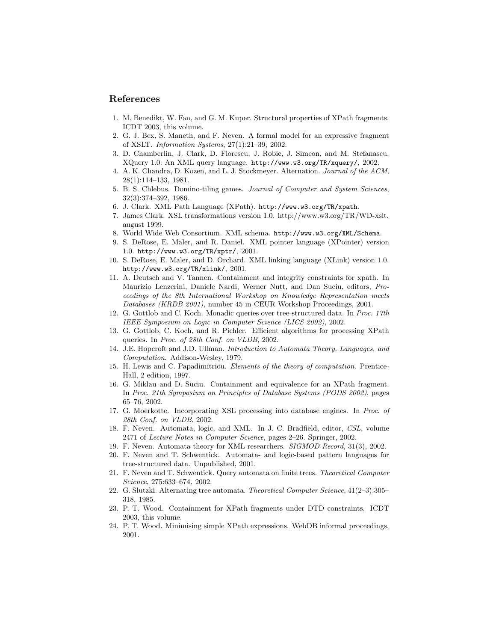#### **References**

- 1. M. Benedikt, W. Fan, and G. M. Kuper. Structural properties of XPath fragments. ICDT 2003, this volume.
- 2. G. J. Bex, S. Maneth, and F. Neven. A formal model for an expressive fragment of XSLT. *Information Systems*, 27(1):21–39, 2002.
- 3. D. Chamberlin, J. Clark, D. Florescu, J. Robie, J. Simeon, and M. Stefanascu. XQuery 1.0: An XML query language. http://www.w3.org/TR/xquery/, 2002.
- 4. A. K. Chandra, D. Kozen, and L. J. Stockmeyer. Alternation. *Journal of the ACM*, 28(1):114–133, 1981.
- 5. B. S. Chlebus. Domino-tiling games. *Journal of Computer and System Sciences*, 32(3):374–392, 1986.
- 6. J. Clark. XML Path Language (XPath). http://www.w3.org/TR/xpath.
- 7. James Clark. XSL transformations version 1.0. http://www.w3.org/TR/WD-xslt, august 1999.
- 8. World Wide Web Consortium. XML schema. http://www.w3.org/XML/Schema.
- 9. S. DeRose, E. Maler, and R. Daniel. XML pointer language (XPointer) version 1.0. http://www.w3.org/TR/xptr/, 2001.
- 10. S. DeRose, E. Maler, and D. Orchard. XML linking language (XLink) version 1.0. http://www.w3.org/TR/xlink/, 2001.
- 11. A. Deutsch and V. Tannen. Containment and integrity constraints for xpath. In Maurizio Lenzerini, Daniele Nardi, Werner Nutt, and Dan Suciu, editors, *Proceedings of the 8th International Workshop on Knowledge Representation meets Databases (KRDB 2001)*, number 45 in CEUR Workshop Proceedings, 2001.
- 12. G. Gottlob and C. Koch. Monadic queries over tree-structured data. In *Proc. 17th IEEE Symposium on Logic in Computer Science (LICS 2002)*, 2002.
- 13. G. Gottlob, C. Koch, and R. Pichler. Efficient algorithms for processing XPath queries. In *Proc. of 28th Conf. on VLDB*, 2002.
- 14. J.E. Hopcroft and J.D. Ullman. *Introduction to Automata Theory, Languages, and Computation*. Addison-Wesley, 1979.
- 15. H. Lewis and C. Papadimitriou. *Elements of the theory of computation*. Prentice-Hall, 2 edition, 1997.
- 16. G. Miklau and D. Suciu. Containment and equivalence for an XPath fragment. In *Proc. 21th Symposium on Principles of Database Systems (PODS 2002)*, pages 65–76, 2002.
- 17. G. Moerkotte. Incorporating XSL processing into database engines. In *Proc. of 28th Conf. on VLDB*, 2002.
- 18. F. Neven. Automata, logic, and XML. In J. C. Bradfield, editor, *CSL*, volume 2471 of *Lecture Notes in Computer Science*, pages 2–26. Springer, 2002.
- 19. F. Neven. Automata theory for XML researchers. *SIGMOD Record*, 31(3), 2002.
- 20. F. Neven and T. Schwentick. Automata- and logic-based pattern languages for tree-structured data. Unpublished, 2001.
- 21. F. Neven and T. Schwentick. Query automata on finite trees. *Theoretical Computer Science*, 275:633–674, 2002.
- 22. G. Slutzki. Alternating tree automata. *Theoretical Computer Science*, 41(2–3):305– 318, 1985.
- 23. P. T. Wood. Containment for XPath fragments under DTD constraints. ICDT 2003, this volume.
- 24. P. T. Wood. Minimising simple XPath expressions. WebDB informal proceedings, 2001.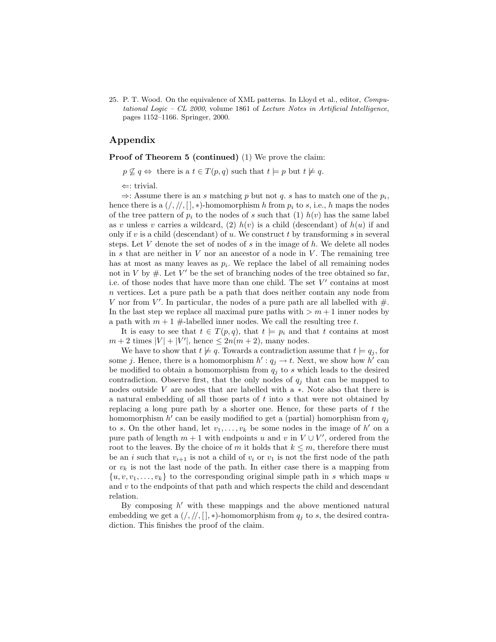25. P. T. Wood. On the equivalence of XML patterns. In Lloyd et al., editor, *Computational Logic – CL 2000*, volume 1861 of *Lecture Notes in Artificial Intelligence*, pages 1152–1166. Springer, 2000.

## **Appendix**

**Proof of Theorem 5 (continued)** (1) We prove the claim:

 $p \nsubseteq q \Leftrightarrow$  there is a  $t \in T(p,q)$  such that  $t \models p$  but  $t \not\models q$ .

 $\Leftarrow$ : trivial.

 $\Rightarrow$ : Assume there is an s matching p but not q. s has to match one of the  $p_i$ , hence there is a  $\left(\frac{1}{1}, \frac{1}{2}\right)$ -homomorphism h from  $p_i$  to s, i.e., h maps the nodes of the tree pattern of  $p_i$  to the nodes of s such that (1)  $h(v)$  has the same label as v unless v carries a wildcard, (2)  $h(v)$  is a child (descendant) of  $h(u)$  if and only if v is a child (descendant) of u. We construct t by transforming s in several steps. Let  $V$  denote the set of nodes of  $s$  in the image of  $h$ . We delete all nodes in s that are neither in  $V$  nor an ancestor of a node in  $V$ . The remaining tree has at most as many leaves as  $p_i$ . We replace the label of all remaining nodes not in V by  $\#$ . Let V' be the set of branching nodes of the tree obtained so far, i.e. of those nodes that have more than one child. The set  $V'$  contains at most n vertices. Let a pure path be a path that does neither contain any node from V nor from V'. In particular, the nodes of a pure path are all labelled with  $\#$ . In the last step we replace all maximal pure paths with  $>m+1$  inner nodes by a path with  $m + 1$  #-labelled inner nodes. We call the resulting tree t.

It is easy to see that  $t \in T(p,q)$ , that  $t \models p_i$  and that t contains at most  $m + 2$  times  $|V| + |V'|$ , hence  $\leq 2n(m + 2)$ , many nodes.

We have to show that  $t \not\models q$ . Towards a contradiction assume that  $t \models q_i$ , for some j. Hence, there is a homomorphism  $h' : q_j \to t$ . Next, we show how h' can be modified to obtain a homomorphism from  $q_i$  to s which leads to the desired contradiction. Observe first, that the only nodes of  $q_i$  that can be mapped to nodes outside V are nodes that are labelled with a ∗. Note also that there is a natural embedding of all those parts of  $t$  into  $s$  that were not obtained by replacing a long pure path by a shorter one. Hence, for these parts of  $t$  the homomorphism  $h'$  can be easily modified to get a (partial) homorphism from  $q_i$ to s. On the other hand, let  $v_1, \ldots, v_k$  be some nodes in the image of  $h'$  on a pure path of length  $m + 1$  with endpoints u and v in  $V \cup V'$ , ordered from the root to the leaves. By the choice of m it holds that  $k \leq m$ , therefore there must be an i such that  $v_{i+1}$  is not a child of  $v_i$  or  $v_1$  is not the first node of the path or  $v_k$  is not the last node of the path. In either case there is a mapping from  $\{u, v, v_1, \ldots, v_k\}$  to the corresponding original simple path in s which maps u and  $v$  to the endpoints of that path and which respects the child and descendant relation.

By composing  $h'$  with these mappings and the above mentioned natural embedding we get a  $\left(\frac{1}{1}, \frac{1}{2}\right)$ . homomorphism from  $q_i$  to s, the desired contradiction. This finishes the proof of the claim.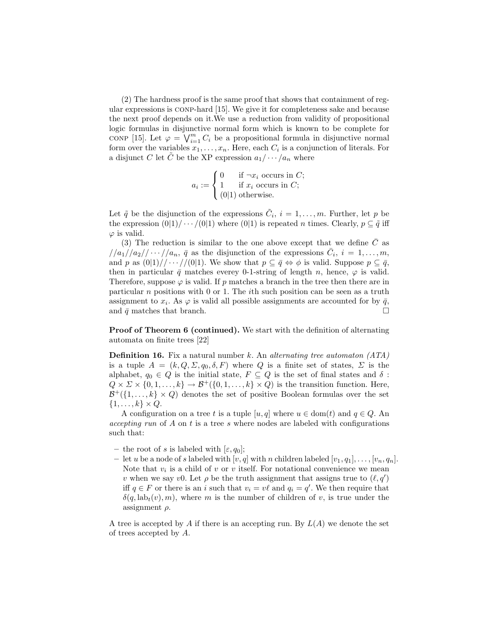(2) The hardness proof is the same proof that shows that containment of regular expressions is conp-hard [15]. We give it for completeness sake and because the next proof depends on it.We use a reduction from validity of propositional logic formulas in disjunctive normal form which is known to be complete for CONP [15]. Let  $\varphi = \bigvee_{i=1}^{m} C_i$  be a propositional formula in disjunctive normal form over the variables  $x_1, \ldots, x_n$ . Here, each  $C_i$  is a conjunction of literals. For a disjunct C let  $\tilde{C}$  be the XP expression  $a_1/\cdots/a_n$  where

$$
a_i := \begin{cases} 0 & \text{if } \neg x_i \text{ occurs in } C; \\ 1 & \text{if } x_i \text{ occurs in } C; \\ (0|1) \text{ otherwise.} \end{cases}
$$

Let  $\tilde{q}$  be the disjunction of the expressions  $\tilde{C}_i$ ,  $i = 1, \ldots, m$ . Further, let p be the expression  $(0|1)/\cdots/(0|1)$  where  $(0|1)$  is repeated n times. Clearly,  $p \subseteq \tilde{q}$  iff  $\varphi$  is valid.

(3) The reduction is similar to the one above except that we define  $\overline{C}$  as  $1/(a_1/|a_2|/\cdots/|a_n, \bar{q}$  as the disjunction of the expressions  $\bar{C}_i, i = 1,\ldots,m$ , and p as  $(0|1)//\cdots//(0|1)$ . We show that  $p \subseteq \bar{q} \Leftrightarrow \phi$  is valid. Suppose  $p \subseteq \bar{q}$ , then in particular  $\bar{q}$  matches everey 0-1-string of length n, hence,  $\varphi$  is valid. Therefore, suppose  $\varphi$  is valid. If p matches a branch in the tree then there are in particular  $n$  positions with 0 or 1. The *i*th such position can be seen as a truth assignment to  $x_i$ . As  $\varphi$  is valid all possible assignments are accounted for by  $\bar{q}$ , and  $\bar{q}$  matches that branch.

**Proof of Theorem 6 (continued).** We start with the definition of alternating automata on finite trees [22]

**Definition 16.** Fix a natural number k. An *alternating tree automaton (ATA)* is a tuple  $A = (k, Q, \Sigma, q_0, \delta, F)$  where Q is a finite set of states,  $\Sigma$  is the alphabet,  $q_0 \in Q$  is the initial state,  $F \subseteq Q$  is the set of final states and  $\delta$ :  $Q \times \Sigma \times \{0, 1, \ldots, k\} \to \mathcal{B}^+(\{0, 1, \ldots, k\} \times Q)$  is the transition function. Here,  $\mathcal{B}^{\dagger}(\{1,\ldots,k\}\times Q)$  denotes the set of positive Boolean formulas over the set  $\{1,\ldots,k\}\times Q$ .

A configuration on a tree t is a tuple  $[u, q]$  where  $u \in \text{dom}(t)$  and  $q \in Q$ . An *accepting run* of A on t is a tree s where nodes are labeled with configurations such that:

- the root of s is labeled with  $[\varepsilon, q_0]$ ;
- $-$  let u be a node of s labeled with  $[v, q]$  with n children labeled  $[v_1, q_1], \ldots, [v_n, q_n]$ . Note that  $v_i$  is a child of v or v itself. For notational convenience we mean v when we say v0. Let  $\rho$  be the truth assignment that assigns true to  $(\ell, q')$ iff  $q \in F$  or there is an i such that  $v_i = v\ell$  and  $q_i = q'$ . We then require that  $\delta(q, \text{lab}_t(v), m)$ , where m is the number of children of v, is true under the assignment  $\rho$ .

A tree is accepted by A if there is an accepting run. By  $L(A)$  we denote the set of trees accepted by A.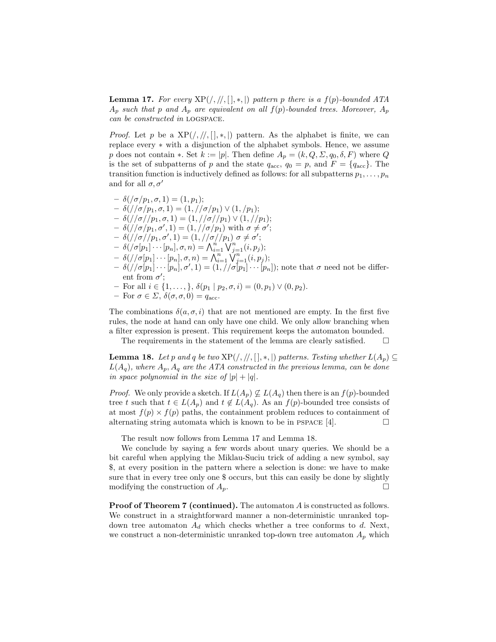**Lemma 17.** *For every*  $XP(\frac{1}{2}, \frac{1}{2}, \frac{1}{2})$  *pattern p there is a*  $f(p)$ *-bounded ATA*  $A_p$  *such that*  $p$  *and*  $A_p$  *are equivalent on all*  $f(p)$ *-bounded trees. Moreover,*  $A_p$ *can be constructed in* logspace*.*

*Proof.* Let p be a  $XP(\frac{1}{1}, \frac{1}{1}, \frac{1}{2})$  pattern. As the alphabet is finite, we can replace every ∗ with a disjunction of the alphabet symbols. Hence, we assume p does not contain  $*$ . Set  $k := |p|$ . Then define  $A_p = (k, Q, \Sigma, q_0, \delta, F)$  where Q is the set of subpatterns of p and the state  $q_{\text{acc}}$ ,  $q_0 = p$ , and  $F = \{q_{\text{acc}}\}$ . The transition function is inductively defined as follows: for all subpatterns  $p_1, \ldots, p_n$ and for all  $\sigma, \sigma'$ 

$$
- \delta((\sigma/p_1, \sigma, 1) = (1, p_1);\n- \delta((/\sigma/p_1, \sigma, 1) = (1, //\sigma/p_1) \vee (1, /p_1);\n- \delta((/\sigma/p_1, \sigma, 1) = (1, //\sigma/p_1) \vee (1, //p_1);\n- \delta((/\sigma/p_1, \sigma', 1) = (1, //\sigma/p_1) \text{ with } \sigma \neq \sigma';\n- \delta((/\sigma/p_1, \sigma', 1) = (1, //\sigma/p_1) \sigma \neq \sigma';\n- \delta((\sigma[p_1] \cdots [p_n], \sigma, n) = \bigwedge_{i=1}^n \bigvee_{j=1}^n (i, p_j);\n- \delta((/\sigma[p_1] \cdots [p_n], \sigma, n) = \bigwedge_{i=1}^n \bigvee_{j=1}^n (i, p_j);\n- \delta((/\sigma[p_1] \cdots [p_n], \sigma', 1) = (1, //\sigma[p_1] \cdots [p_n]); \text{ note that } \sigma \text{ need not be different from } \sigma';\n- For all  $i \in \{1, \ldots, \}, \delta(p_1 | p_2, \sigma, i) = (0, p_1) \vee (0, p_2).$
$$

For  $\sigma \in \Sigma$ ,  $\delta(\sigma, \sigma, 0) = q_{\text{acc}}$ .

The combinations  $\delta(a, \sigma, i)$  that are not mentioned are empty. In the first five rules, the node at hand can only have one child. We only allow branching when a filter expression is present. This requirement keeps the automaton bounded.

The requirements in the statement of the lemma are clearly satisfied.  $\Box$ 

**Lemma 18.** *Let* p and q be two  $\text{XP}(/, / / /, [], *, |)$  patterns. Testing whether  $L(A_p) \subseteq$  $L(A_q)$ , where  $A_p$ ,  $A_q$  are the ATA constructed in the previous lemma, can be done *in space polynomial in the size of*  $|p| + |q|$ *.* 

*Proof.* We only provide a sketch. If  $L(A_p) \nsubseteq L(A_q)$  then there is an  $f(p)$ -bounded tree t such that  $t \in L(A_p)$  and  $t \notin L(A_q)$ . As an  $f(p)$ -bounded tree consists of at most  $f(p) \times f(p)$  paths, the containment problem reduces to containment of alternating string automata which is known to be in PSPACE [4].  $\Box$ 

The result now follows from Lemma 17 and Lemma 18.

We conclude by saying a few words about unary queries. We should be a bit careful when applying the Miklau-Suciu trick of adding a new symbol, say \$, at every position in the pattern where a selection is done: we have to make sure that in every tree only one \$ occurs, but this can easily be done by slightly modifying the construction of  $A_p$ .

**Proof of Theorem 7 (continued).** The automaton A is constructed as follows. We construct in a straightforward manner a non-deterministic unranked topdown tree automaton  $A_d$  which checks whether a tree conforms to d. Next, we construct a non-deterministic unranked top-down tree automaton  $A_p$  which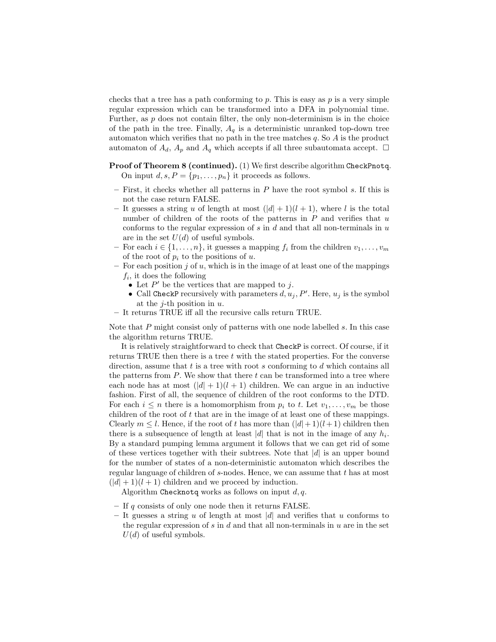checks that a tree has a path conforming to  $p$ . This is easy as  $p$  is a very simple regular expression which can be transformed into a DFA in polynomial time. Further, as  $p$  does not contain filter, the only non-determinism is in the choice of the path in the tree. Finally,  $A_q$  is a deterministic unranked top-down tree automaton which verifies that no path in the tree matches  $q$ . So  $A$  is the product automaton of  $A_d$ ,  $A_p$  and  $A_q$  which accepts if all three subautomata accept.  $\Box$ 

- Proof of Theorem 8 (continued). (1) We first describe algorithm CheckPnotq. On input  $d, s, P = \{p_1, \ldots, p_n\}$  it proceeds as follows.
	- **–** First, it checks whether all patterns in P have the root symbol s. If this is not the case return FALSE.
	- It guesses a string u of length at most  $(|d| + 1)(l + 1)$ , where l is the total number of children of the roots of the patterns in  $P$  and verifies that u conforms to the regular expression of  $s$  in  $d$  and that all non-terminals in  $u$ are in the set  $U(d)$  of useful symbols.
	- For each  $i \in \{1, \ldots, n\}$ , it guesses a mapping  $f_i$  from the children  $v_1, \ldots, v_m$ of the root of  $p_i$  to the positions of u.
	- **–** For each position j of u, which is in the image of at least one of the mappings  $f_i$ , it does the following
		- Let  $P'$  be the vertices that are mapped to j.
		- Call CheckP recursively with parameters  $d, u_j, P'$ . Here,  $u_j$  is the symbol at the  $i$ -th position in  $u$ .
	- **–** It returns TRUE iff all the recursive calls return TRUE.

Note that P might consist only of patterns with one node labelled s. In this case the algorithm returns TRUE.

It is relatively straightforward to check that CheckP is correct. Of course, if it returns TRUE then there is a tree  $t$  with the stated properties. For the converse direction, assume that  $t$  is a tree with root  $s$  conforming to  $d$  which contains all the patterns from  $P$ . We show that there  $t$  can be transformed into a tree where each node has at most  $(|d| + 1)(l + 1)$  children. We can argue in an inductive fashion. First of all, the sequence of children of the root conforms to the DTD. For each  $i \leq n$  there is a homomorphism from  $p_i$  to t. Let  $v_1, \ldots, v_m$  be those children of the root of  $t$  that are in the image of at least one of these mappings. Clearly  $m \leq l$ . Hence, if the root of t has more than  $(|d|+1)(l+1)$  children then there is a subsequence of length at least |d| that is not in the image of any  $h_i$ . By a standard pumping lemma argument it follows that we can get rid of some of these vertices together with their subtrees. Note that  $|d|$  is an upper bound for the number of states of a non-deterministic automaton which describes the regular language of children of s-nodes. Hence, we can assume that t has at most  $(|d| + 1)(l + 1)$  children and we proceed by induction.

Algorithm Checknotq works as follows on input  $d, q$ .

- **–** If q consists of only one node then it returns FALSE.
- **–** It guesses a string u of length at most |d| and verifies that u conforms to the regular expression of  $s$  in  $d$  and that all non-terminals in  $u$  are in the set  $U(d)$  of useful symbols.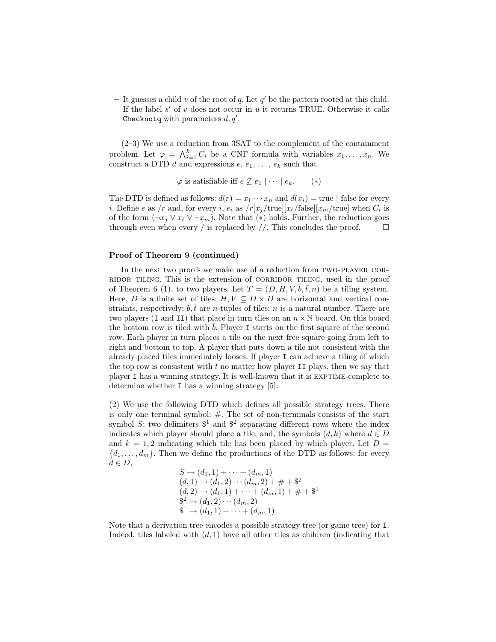– It guesses a child v of the root of q. Let  $q'$  be the pattern rooted at this child. If the label s' of v does not occur in u it returns TRUE. Otherwise it calls Checknotq with parameters  $d, q'$ .

(2–3) We use a reduction from 3SAT to the complement of the containment problem. Let  $\varphi = \bigwedge_{i=1}^k C_i$  be a CNF formula with variables  $x_1, \ldots, x_n$ . We construct a DTD d and expressions  $e, e_1, \ldots, e_k$  such that

 $\varphi$  is satisfiable iff  $e \nsubseteq e_1 | \cdots | e_k.$  (\*)

The DTD is defined as follows:  $d(r) = x_1 \cdots x_n$  and  $d(x_i) = \text{true}$  | false for every i. Define e as /r and, for every i,  $e_i$  as /r[ $x_i$ /true][ $x_{\ell}$ /false][ $x_m$ /true] when  $C_i$  is of the form  $(\neg x_j \lor x_\ell \lor \neg x_m)$ . Note that  $(*)$  holds. Further, the reduction goes through even when every / is replaced by //. This concludes the proof.  $\Box$ 

#### **Proof of Theorem 9 (continued)**

In the next two proofs we make use of a reduction from TWO-PLAYER CORridor tiling. This is the extension of corridor tiling, used in the proof of Theorem 6 (1), to two players. Let  $T = (D, H, V, b, \bar{t}, n)$  be a tiling system. Here, D is a finite set of tiles;  $H, V \subseteq D \times D$  are horizontal and vertical constraints, respectively;  $\bar{b}, \bar{t}$  are *n*-tuples of tiles; *n* is a natural number. There are two players (I and II) that place in turn tiles on an  $n \times N$  board. On this board the bottom row is tiled with  $b$ . Player I starts on the first square of the second row. Each player in turn places a tile on the next free square going from left to right and bottom to top. A player that puts down a tile not consistent with the already placed tiles immediately looses. If player I can achieve a tiling of which the top row is consistent with  $\bar{t}$  no matter how player II plays, then we say that player I has a winning strategy. It is well-known that it is exptime-complete to determine whether I has a winning strategy [5].

(2) We use the following DTD which defines all possible strategy trees. There is only one terminal symbol:  $#$ . The set of non-terminals consists of the start symbol S; two delimiters  $\mathcal{F}^1$  and  $\mathcal{F}^2$  separating different rows where the index indicates which player should place a tile; and, the symbols  $(d, k)$  where  $d \in D$ and  $k = 1, 2$  indicating which tile has been placed by which player. Let  $D =$  ${d_1,\ldots,d_m}$ . Then we define the productions of the DTD as follows: for every  $d \in D$ ,

$$
S \rightarrow (d_1, 1) + \cdots + (d_m, 1)
$$
  
\n
$$
(d, 1) \rightarrow (d_1, 2) \cdots (d_m, 2) + # + \$^2
$$
  
\n
$$
(d, 2) \rightarrow (d_1, 1) + \cdots + (d_m, 1) + # + \$^1
$$
  
\n
$$
\$^2 \rightarrow (d_1, 2) \cdots (d_m, 2)
$$
  
\n
$$
\$^1 \rightarrow (d_1, 1) + \cdots + (d_m, 1)
$$

Note that a derivation tree encodes a possible strategy tree (or game tree) for I. Indeed, tiles labeled with  $(d, 1)$  have all other tiles as children (indicating that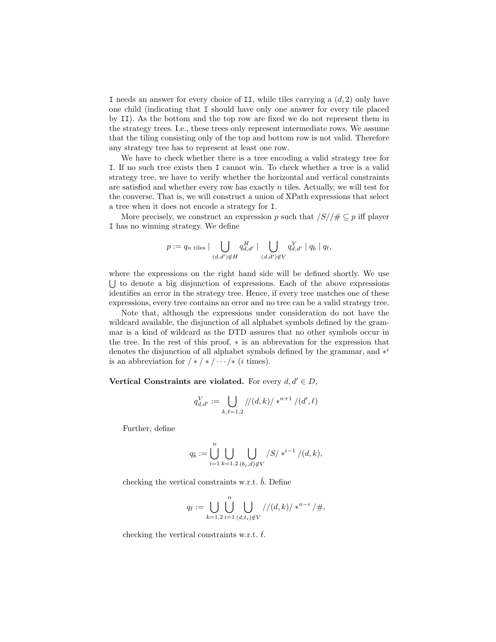I needs an answer for every choice of II, while tiles carrying a  $(d, 2)$  only have one child (indicating that I should have only one answer for every tile placed by II). As the bottom and the top row are fixed we do not represent them in the strategy trees. I.e., these trees only represent intermediate rows. We assume that the tiling consisting only of the top and bottom row is not valid. Therefore any strategy tree has to represent at least one row.

We have to check whether there is a tree encoding a valid strategy tree for I. If no such tree exists then I cannot win. To check whether a tree is a valid strategy tree, we have to verify whether the horizontal and vertical constraints are satisfied and whether every row has exactly  $n$  tiles. Actually, we will test for the converse. That is, we will construct a union of XPath expressions that select a tree when it does not encode a strategy for I.

More precisely, we construct an expression p such that  $\frac{|S|}{\# \subseteq p}$  iff player I has no winning strategy. We define

$$
p:=q_n \text{ tiles }|\bigcup_{(d,d')\not\in H}q_{d,d'}^H\mid \bigcup_{(d,d')\not\in V}q_{d,d'}^V\mid q_{\bar{b}}\mid q_{\bar{t}},
$$

where the expressions on the right hand side will be defined shortly. We use - to denote a big disjunction of expressions. Each of the above expressions identifies an error in the strategy tree. Hence, if every tree matches one of these expressions, every tree contains an error and no tree can be a valid strategy tree.

Note that, although the expressions under consideration do not have the wildcard available, the disjunction of all alphabet symbols defined by the grammar is a kind of wildcard as the DTD assures that no other symbols occur in the tree. In the rest of this proof, ∗ is an abbrevation for the expression that denotes the disjunction of all alphabet symbols defined by the grammar, and  $*$ <sup>i</sup> is an abbreviation for  $/\ast/\ast/\cdots/\ast$  (*i* times).

**Vertical Constraints are violated.** For every  $d, d' \in D$ ,

$$
q^V_{d,d'}:=\bigcup_{k,\ell=1,2}/{\rm i}\mathop{/\rm i}\nolimits(d,k)/*^{n+1}/{\rm i}\mathop{d',\ell})
$$

Further, define

$$
q_{\bar{b}} := \bigcup_{i=1}^n \bigcup_{k=1,2} \bigcup_{(b_i,d)\not\in V} \left/ S\right/ *^{i-1}/(d,k),
$$

checking the vertical constraints w.r.t.  $\bar{b}$ . Define

$$
q_{\bar{t}} := \bigcup_{k=1,2} \bigcup_{i=1}^n \bigcup_{(d,t_i)\not\in V} //(d,k) / *^{n-i}/\#,
$$

checking the vertical constraints w.r.t.  $\bar{t}$ .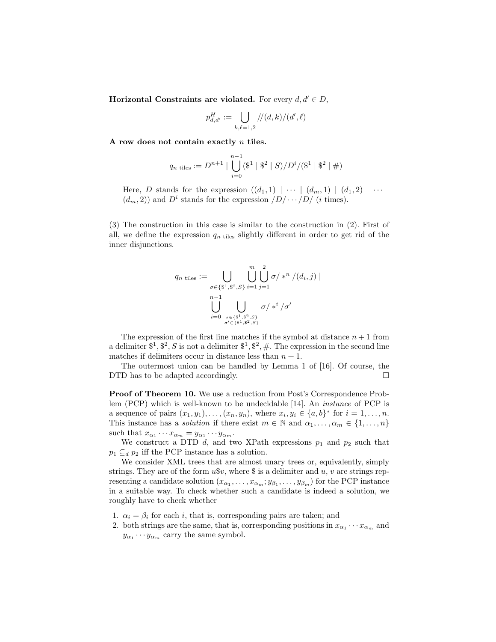**Horizontal Constraints are violated.** For every  $d, d' \in D$ ,

$$
p^H_{d,d'}:=\bigcup_{k,\ell=1,2} {/\!/} (d,k)/(d',\ell)
$$

**A row does not contain exactly** n **tiles.**

$$
q_{n \text{ tiles}} := D^{n+1} \mid \bigcup_{i=0}^{n-1} (\mathbb{S}^1 \mid \mathbb{S}^2 \mid S) / D^i / (\mathbb{S}^1 \mid \mathbb{S}^2 \mid \#)
$$

Here, D stands for the expression  $((d_1, 1) \mid \cdots \mid (d_m, 1) \mid (d_1, 2) \mid \cdots)$  $(d_m, 2)$  and  $D<sup>i</sup>$  stands for the expression  $/D / \cdots / D / (i \text{ times}).$ 

(3) The construction in this case is similar to the construction in (2). First of all, we define the expression  $q_{n}$  tiles slightly different in order to get rid of the inner disjunctions.

$$
q_n \text{ tiles} := \bigcup_{\substack{\sigma \in \{\$^1, \$^2, S\} \\ n-1}} \bigcup_{i=0}^m \bigcup_{\substack{\sigma \in \{8^1, \$^2, S\} \\ \sigma' \in \{8^1, \$^2, S\}}} \sigma / *^i / (d_i, j) \mid
$$

The expression of the first line matches if the symbol at distance  $n + 1$  from a delimiter  $\mathcal{F}^1$ ,  $\mathcal{F}^2$ , S is not a delimiter  $\mathcal{F}^1$ ,  $\mathcal{F}^2$ , #. The expression in the second line matches if delimiters occur in distance less than  $n + 1$ .

The outermost union can be handled by Lemma 1 of [16]. Of course, the DTD has to be adapted accordingly.  $\Box$ 

**Proof of Theorem 10.** We use a reduction from Post's Correspondence Problem (PCP) which is well-known to be undecidable [14]. An *instance* of PCP is a sequence of pairs  $(x_1, y_1), \ldots, (x_n, y_n)$ , where  $x_i, y_i \in \{a, b\}^*$  for  $i = 1, \ldots, n$ . This instance has a *solution* if there exist  $m \in \mathbb{N}$  and  $\alpha_1, \ldots, \alpha_m \in \{1, \ldots, n\}$ such that  $x_{\alpha_1} \cdots x_{\alpha_m} = y_{\alpha_1} \cdots y_{\alpha_m}$ .

We construct a DTD  $d$ , and two XPath expressions  $p_1$  and  $p_2$  such that  $p_1 \subseteq_d p_2$  iff the PCP instance has a solution.

We consider XML trees that are almost unary trees or, equivalently, simply strings. They are of the form  $u\$ r, where  $\frac{1}{2}$  is a delimiter and  $u, v$  are strings representing a candidate solution  $(x_{\alpha_1},\ldots,x_{\alpha_m};y_{\beta_1},\ldots,y_{\beta_m})$  for the PCP instance in a suitable way. To check whether such a candidate is indeed a solution, we roughly have to check whether

- 1.  $\alpha_i = \beta_i$  for each i, that is, corresponding pairs are taken; and
- 2. both strings are the same, that is, corresponding positions in  $x_{\alpha_1} \cdots x_{\alpha_m}$  and  $y_{\alpha_1} \cdots y_{\alpha_m}$  carry the same symbol.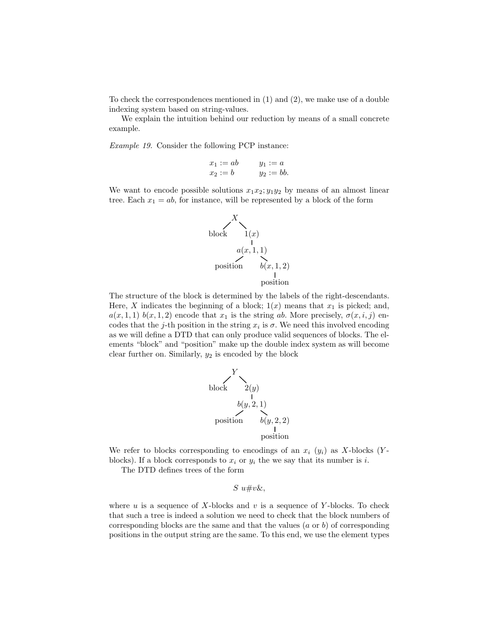To check the correspondences mentioned in (1) and (2), we make use of a double indexing system based on string-values.

We explain the intuition behind our reduction by means of a small concrete example.

*Example 19.* Consider the following PCP instance:

 $x_1 := ab \t y_1 := a$  $x_2 := b$   $y_2 := bb.$ 

We want to encode possible solutions  $x_1x_2; y_1y_2$  by means of an almost linear tree. Each  $x_1 = ab$ , for instance, will be represented by a block of the form



The structure of the block is determined by the labels of the right-descendants. Here, X indicates the beginning of a block;  $1(x)$  means that  $x_1$  is picked; and,  $a(x, 1, 1)$  b(x, 1, 2) encode that  $x_1$  is the string ab. More precisely,  $\sigma(x, i, j)$  encodes that the j-th position in the string  $x_i$  is  $\sigma$ . We need this involved encoding as we will define a DTD that can only produce valid sequences of blocks. The elements "block" and "position" make up the double index system as will become clear further on. Similarly,  $y_2$  is encoded by the block



We refer to blocks corresponding to encodings of an  $x_i$   $(y_i)$  as X-blocks (Yblocks). If a block corresponds to  $x_i$  or  $y_i$  the we say that its number is i.

The DTD defines trees of the form

 $S u \# v \&.$ 

where  $u$  is a sequence of X-blocks and  $v$  is a sequence of Y-blocks. To check that such a tree is indeed a solution we need to check that the block numbers of corresponding blocks are the same and that the values  $(a \text{ or } b)$  of corresponding positions in the output string are the same. To this end, we use the element types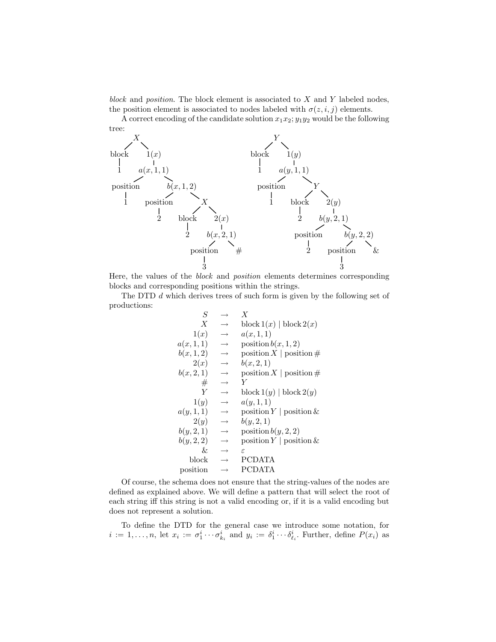*block* and *position*. The block element is associated to X and Y labeled nodes, the position element is associated to nodes labeled with  $\sigma(z, i, j)$  elements.

A correct encoding of the candidate solution  $x_1x_2; y_1y_2$  would be the following tree:



Here, the values of the *block* and *position* elements determines corresponding blocks and corresponding positions within the strings.

The DTD d which derives trees of such form is given by the following set of productions:

$$
S \rightarrow X
$$
  
\n
$$
X \rightarrow \text{block } 1(x) | \text{block } 2(x)
$$
  
\n
$$
1(x) \rightarrow a(x, 1, 1)
$$
  
\n
$$
a(x, 1, 1) \rightarrow \text{position } b(x, 1, 2)
$$
  
\n
$$
b(x, 1, 2) \rightarrow \text{position } X | \text{ position #}
$$
  
\n
$$
2(x) \rightarrow b(x, 2, 1)
$$
  
\n
$$
b(x, 2, 1) \rightarrow \text{position } X | \text{ position #}
$$
  
\n
$$
# \rightarrow Y
$$
  
\n
$$
Y \rightarrow \text{block } 1(y) | \text{block } 2(y)
$$
  
\n
$$
1(y) \rightarrow a(y, 1, 1)
$$
  
\n
$$
a(y, 1, 1) \rightarrow \text{position } Y | \text{ position &}
$$
  
\n
$$
2(y) \rightarrow b(y, 2, 1)
$$
  
\n
$$
b(y, 2, 1) \rightarrow \text{position } b(y, 2, 2)
$$
  
\n
$$
b(y, 2, 2) \rightarrow \text{position } Y | \text{ position &}
$$
  
\n
$$
& \rightarrow \varepsilon
$$
  
\n
$$
\text{block} \rightarrow \text{PCDATA}
$$
  
\nposition \rightarrow PCDATA

Of course, the schema does not ensure that the string-values of the nodes are defined as explained above. We will define a pattern that will select the root of each string iff this string is not a valid encoding or, if it is a valid encoding but does not represent a solution.

To define the DTD for the general case we introduce some notation, for  $i := 1, \ldots, n$ , let  $x_i := \sigma_1^i \cdots \sigma_{k_i}^i$  and  $y_i := \delta_1^i \cdots \delta_{\ell_i}^i$ . Further, define  $P(x_i)$  as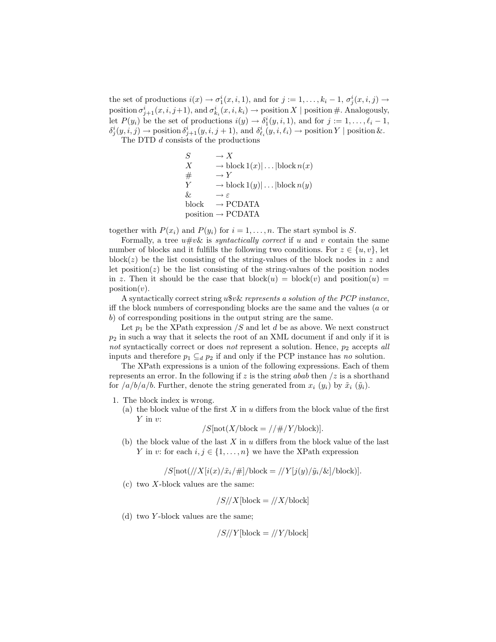the set of productions  $i(x) \to \sigma_1^i(x, i, 1)$ , and for  $j := 1, \ldots, k_i - 1, \sigma_j^i(x, i, j) \to$ position  $\sigma_{j+1}^i(x,i,j+1)$ , and  $\sigma_{k_i}^i(x,i,k_i) \to$  position X | position #. Analogously, let  $P(y_i)$  be the set of productions  $i(y) \to \delta_1^i(y, i, 1)$ , and for  $j := 1, \ldots, \ell_i - 1$ ,  $\delta^i_j(y, \tilde{i}, \tilde{j}) \to \text{position } \delta^i_{j+1}(y, \tilde{i}, j+1), \text{ and } \delta^i_{\ell_i}(y, \tilde{i}, \ell_i) \to \text{position } Y \mid \text{position } \&.$ 

The DTD d consists of the productions

 $S \longrightarrow X$  $X \longrightarrow \text{block } 1(x) | \dots | \text{block } n(x)$  $# \longrightarrow Y$  $Y \longrightarrow \text{block } 1(y) | \dots | \text{block } n(y)$  $\& \longrightarrow \varepsilon$ block  $\rightarrow$  PCDATA  $position \rightarrow PCDATA$ 

together with  $P(x_i)$  and  $P(y_i)$  for  $i = 1, \ldots, n$ . The start symbol is S.

Formally, a tree  $u \# v \&$  is *syntactically correct* if u and v contain the same number of blocks and it fulfills the following two conditions. For  $z \in \{u, v\}$ , let block(z) be the list consisting of the string-values of the block nodes in z and let position( $z$ ) be the list consisting of the string-values of the position nodes in z. Then it should be the case that  $block(u) = block(v)$  and  $position(u) =$ position $(v)$ .

A syntactically correct string u\$v& *represents a solution of the PCP instance*, iff the block numbers of corresponding blocks are the same and the values  $(a \text{ or } a)$ b) of corresponding positions in the output string are the same.

Let  $p_1$  be the XPath expression  $/S$  and let d be as above. We next construct  $p_2$  in such a way that it selects the root of an XML document if and only if it is *not* syntactically correct or does *not* represent a solution. Hence,  $p_2$  accepts all inputs and therefore  $p_1 \subseteq_d p_2$  if and only if the PCP instance has *no* solution.

The XPath expressions is a union of the following expressions. Each of them represents an error. In the following if z is the string abab then  $/z$  is a shorthand for  $\frac{a}{b}a^2$ . Further, denote the string generated from  $x_i(y_i)$  by  $\tilde{x}_i(\tilde{y}_i)$ .

1. The block index is wrong.

(a) the block value of the first  $X$  in  $u$  differs from the block value of the first  $Y$  in  $v$ :

$$
/S[\text{not}(X/\text{block} = //# / Y/\text{block})].
$$

(b) the block value of the last  $X$  in  $u$  differs from the block value of the last Y in v: for each  $i, j \in \{1, \ldots, n\}$  we have the XPath expression

$$
/S[\text{not}(//X[i(x)/\tilde{x}_i/\#]/\text{block} = //Y[j(y)/\tilde{y}_i/\&]/\text{block})].
$$

(c) two X-block values are the same:

$$
/S/\!/X[\text{block} = /\!/X/\text{block}]
$$

(d) two Y -block values are the same;

$$
/S/\!/Y[\text{block} = /\!/Y/\text{block}]
$$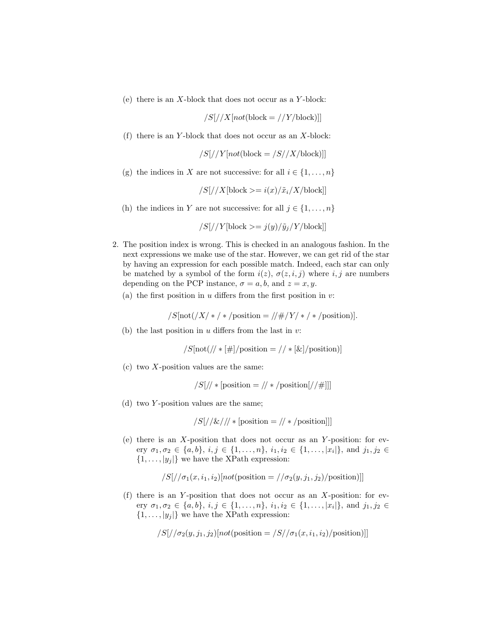(e) there is an  $X$ -block that does not occur as a  $Y$ -block:

 $/S[//X[not(block = //Y/block]]$ 

(f) there is an Y-block that does not occur as an X-block:

 $/S[//Y[not(block = /S//X/block]]$ 

(g) the indices in X are not successive: for all  $i \in \{1, \ldots, n\}$ 

$$
/S[//X[block>=i(x)/\tilde{x}_i/X/block]]
$$

(h) the indices in Y are not successive: for all  $j \in \{1, \ldots, n\}$ 

$$
/S[//Y[\text{block}>=j(y)/\tilde{y}_j/Y/\text{block}]]
$$

- 2. The position index is wrong. This is checked in an analogous fashion. In the next expressions we make use of the star. However, we can get rid of the star by having an expression for each possible match. Indeed, each star can only be matched by a symbol of the form  $i(z)$ ,  $\sigma(z, i, j)$  where  $i, j$  are numbers depending on the PCP instance,  $\sigma = a, b$ , and  $z = x, y$ .
	- (a) the first position in  $u$  differs from the first position in  $v$ :

$$
/S[\text{not}(\frac{X}{*} / * / * \text{position} = \frac{1}{4} / Y / * / * / \text{position}].
$$

(b) the last position in  $u$  differs from the last in  $v$ :

 $/S[{\rm not}(t]/*[\#]/{\rm position} = t/*[\&]/{\rm position})$ 

 $(c)$  two X-position values are the same:

$$
/S[\,]/*[position = //*/position[//\#]]]
$$

(d) two Y -position values are the same;

$$
/S[//\&///*[position = //*/position]]
$$

(e) there is an  $X$ -position that does not occur as an  $Y$ -position: for every  $\sigma_1, \sigma_2 \in \{a, b\}, i, j \in \{1, \ldots, n\}, i_1, i_2 \in \{1, \ldots, |x_i|\}, \text{ and } j_1, j_2 \in$  $\{1,\ldots,|y_j|\}$  we have the XPath expression:

$$
/S[/\!/\sigma_1(x,i_1,i_2)[not(\text{position} = //\sigma_2(y,j_1,j_2)/\text{position})]]
$$

(f) there is an  $Y$ -position that does not occur as an  $X$ -position: for every  $\sigma_1, \sigma_2 \in \{a, b\}, i, j \in \{1, \ldots, n\}, i_1, i_2 \in \{1, \ldots, |x_i|\}, \text{ and } j_1, j_2 \in$  $\{1,\ldots,|y_j|\}$  we have the XPath expression:

$$
/S[//\sigma_2(y,j_1,j_2)[not(\text{position} = /S//\sigma_1(x,i_1,i_2)/\text{position})]]
$$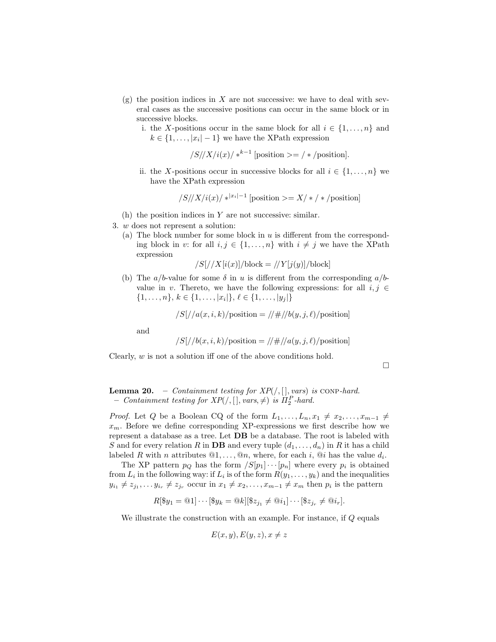- $(g)$  the position indices in X are not successive: we have to deal with several cases as the successive positions can occur in the same block or in successive blocks.
	- i. the X-positions occur in the same block for all  $i \in \{1, \ldots, n\}$  and  $k \in \{1, \ldots, |x_i| - 1\}$  we have the XPath expression

$$
/S/\!/X/i(x)/*^{k-1}
$$
 [position  $>=$  / \* /position].

ii. the X-positions occur in successive blocks for all  $i \in \{1, \ldots, n\}$  we have the XPath expression

$$
/S/\!/X/i(x)/*^{|x_i|-1}
$$
 [position  $> = X/*$  / position]

- $(h)$  the position indices in Y are not successive: similar.
- 3. w does not represent a solution:
	- (a) The block number for some block in  $u$  is different from the corresponding block in v: for all  $i, j \in \{1, ..., n\}$  with  $i \neq j$  we have the XPath expression

 $/S[//X[i(x)]/block = //Y[j(y)]/block]$ 

(b) The  $a/b$ -value for some  $\delta$  in u is different from the corresponding  $a/b$ value in v. Thereto, we have the following expressions: for all  $i, j \in$  $\{1,\ldots,n\}, k \in \{1,\ldots,|x_i|\}, \ell \in \{1,\ldots,|y_i|\}$ 

$$
/S[//a(x, i, k)/position = //#//b(y, j, \ell)/position]
$$

and

$$
/S[//b(x, i, k)/position = //#//a(y, j, \ell)/position]
$$

Clearly,  $w$  is not a solution iff one of the above conditions hold.

 $\Box$ 

**Lemma 20.** – *Containment testing for*  $XP($ *,*  $[$ *,*  $|$ *, <i>vars*) *is* CONP-hard.  $-$  *Containment testing for XP*(/, [], *vars*,  $\neq$ ) *is*  $\Pi_2^P$ -hard.

*Proof.* Let Q be a Boolean CQ of the form  $L_1, \ldots, L_n, x_1 \neq x_2, \ldots, x_{m-1} \neq$  $x_m$ . Before we define corresponding XP-expressions we first describe how we represent a database as a tree. Let **DB** be a database. The root is labeled with S and for every relation R in **DB** and every tuple  $(d_1, \ldots, d_n)$  in R it has a child labeled R with n attributes  $\mathcal{Q}_1, \ldots, \mathcal{Q}_n$ , where, for each i,  $\mathcal{Q}_i$  has the value  $d_i$ .

The XP pattern  $p_Q$  has the form  $/S[p_1] \cdots [p_n]$  where every  $p_i$  is obtained from  $L_i$  in the following way: if  $L_i$  is of the form  $R(y_1,\ldots,y_k)$  and the inequalities  $y_{i_1} \neq z_{j_1}, \ldots y_{i_r} \neq z_{j_r}$  occur in  $x_1 \neq x_2, \ldots, x_{m-1} \neq x_m$  then  $p_i$  is the pattern

$$
R[\$y_1 = @1] \cdots [\$y_k = @k][\$z_{j_1} \neq @i_1] \cdots [\$z_{j_r} \neq @i_r].
$$

We illustrate the construction with an example. For instance, if Q equals

$$
E(x, y), E(y, z), x \neq z
$$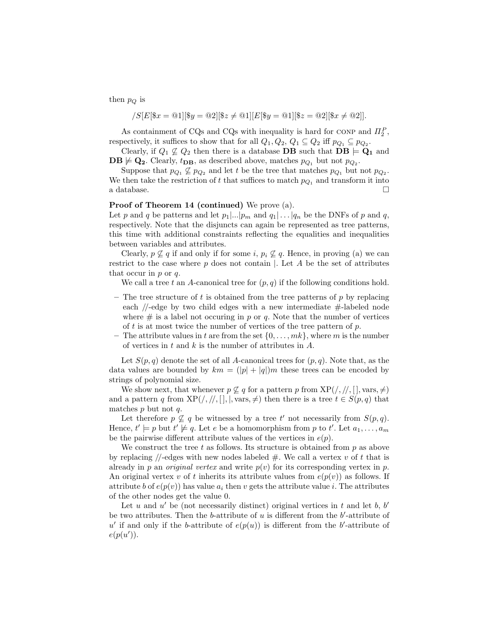then  $p_Q$  is

$$
/S[E[\$x = @1][\$y = @2][\$z \neq @1][E[\$y = @1][\$z = @2][\$x \neq @2]].
$$

As containment of CQs and CQs with inequality is hard for CONP and  $\Pi_2^P$ , respectively, it suffices to show that for all  $Q_1, Q_2, Q_1 \subseteq Q_2$  iff  $p_{Q_1} \subseteq p_{Q_2}$ .

Clearly, if  $Q_1 \not\subseteq Q_2$  then there is a database **DB** such that  $\overrightarrow{DB} \models \overrightarrow{Q_1}$  and **DB**  $\not\models$  **Q<sub>2</sub>**. Clearly,  $t_{DB}$ , as described above, matches  $p_{Q_1}$  but not  $p_{Q_2}$ .

Suppose that  $p_{Q_1} \not\subseteq p_{Q_2}$  and let t be the tree that matches  $p_{Q_1}$  but not  $p_{Q_2}$ . We then take the restriction of t that suffices to match  $p_{Q_1}$  and transform it into a database.  $\Box$ 

#### **Proof of Theorem 14 (continued)** We prove (a).

Let p and q be patterns and let  $p_1|...|p_m$  and  $q_1|...|q_n$  be the DNFs of p and q, respectively. Note that the disjuncts can again be represented as tree patterns, this time with additional constraints reflecting the equalities and inequalities between variables and attributes.

Clearly,  $p \not\subseteq q$  if and only if for some  $i, p_i \not\subseteq q$ . Hence, in proving (a) we can restrict to the case where  $p$  does not contain . Let  $A$  be the set of attributes that occur in  $p$  or  $q$ .

We call a tree t an A-canonical tree for  $(p, q)$  if the following conditions hold.

- The tree structure of t is obtained from the tree patterns of p by replacing each //-edge by two child edges with a new intermediate  $\#$ -labeled node where  $\#$  is a label not occuring in p or q. Note that the number of vertices of  $t$  is at most twice the number of vertices of the tree pattern of  $p$ .
- The attribute values in t are from the set  $\{0, \ldots, mk\}$ , where m is the number of vertices in  $t$  and  $k$  is the number of attributes in  $A$ .

Let  $S(p,q)$  denote the set of all A-canonical trees for  $(p,q)$ . Note that, as the data values are bounded by  $km = (|p| + |q|)m$  these trees can be encoded by strings of polynomial size.

We show next, that whenever  $p \not\subseteq q$  for a pattern p from  $\text{XP}(/, / /, []$ , vars,  $\neq$ ) and a pattern q from  $\text{XP}(/, / /, [ ], |, \text{vars}, \neq)$  then there is a tree  $t \in S(p, q)$  that matches  $p$  but not  $q$ .

Let therefore  $p \nsubseteq q$  be witnessed by a tree t' not necessarily from  $S(p,q)$ . Hence,  $t' \models p$  but  $t' \not\models q$ . Let e be a homomorphism from p to t'. Let  $a_1, \ldots, a_m$ be the pairwise different attribute values of the vertices in  $e(p)$ .

We construct the tree t as follows. Its structure is obtained from  $p$  as above by replacing //-edges with new nodes labeled  $#$ . We call a vertex v of t that is already in p an *original vertex* and write  $p(v)$  for its corresponding vertex in p. An original vertex v of t inherits its attribute values from  $e(p(v))$  as follows. If attribute b of  $e(p(v))$  has value  $a_i$  then v gets the attribute value i. The attributes of the other nodes get the value 0.

Let u and u' be (not necessarily distinct) original vertices in t and let b, b' be two attributes. Then the b-attribute of  $u$  is different from the b'-attribute of u' if and only if the b-attribute of  $e(p(u))$  is different from the b'-attribute of  $e(p(u'))$ .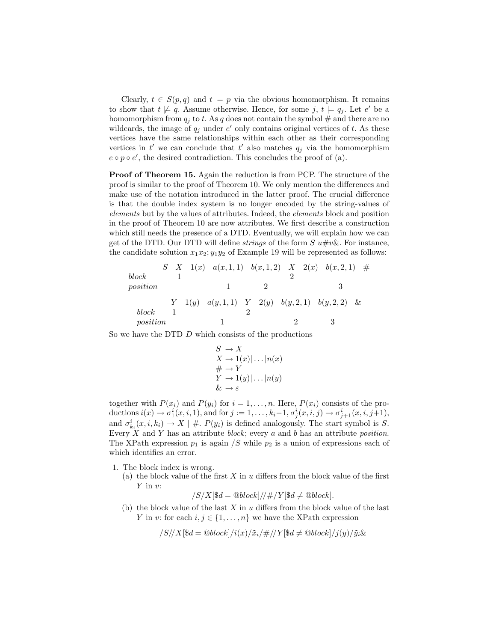Clearly,  $t \in S(p,q)$  and  $t \models p$  via the obvious homomorphism. It remains to show that  $t \not\models q$ . Assume otherwise. Hence, for some j,  $t \models q_i$ . Let e' be a homomorphism from  $q_j$  to t. As q does not contain the symbol  $\#$  and there are no wildcards, the image of  $q_j$  under  $e'$  only contains original vertices of t. As these vertices have the same relationships within each other as their corresponding vertices in  $t'$  we can conclude that  $t'$  also matches  $q_i$  via the homomorphism  $e \circ p \circ e'$ , the desired contradiction. This concludes the proof of (a).

**Proof of Theorem 15.** Again the reduction is from PCP. The structure of the proof is similar to the proof of Theorem 10. We only mention the differences and make use of the notation introduced in the latter proof. The crucial difference is that the double index system is no longer encoded by the string-values of *elements* but by the values of attributes. Indeed, the *elements* block and position in the proof of Theorem 10 are now attributes. We first describe a construction which still needs the presence of a DTD. Eventually, we will explain how we can get of the DTD. Our DTD will define *strings* of the form  $S u \# v \&$ . For instance, the candidate solution  $x_1x_2; y_1y_2$  of Example 19 will be represented as follows:

|          |  | $S \ X \ 1(x) \ a(x,1,1) \ b(x,1,2) \ X \ 2(x) \ b(x,2,1) \ \#$   |  |  |  |
|----------|--|-------------------------------------------------------------------|--|--|--|
| block    |  |                                                                   |  |  |  |
| position |  |                                                                   |  |  |  |
|          |  | $Y = 1(y) - a(y, 1, 1) - Y = 2(y) - b(y, 2, 1) - b(y, 2, 2) - \&$ |  |  |  |
| block    |  |                                                                   |  |  |  |
| position |  |                                                                   |  |  |  |

So we have the DTD  $D$  which consists of the productions

$$
S \to X
$$
  
\n
$$
X \to 1(x) | \dots | n(x)
$$
  
\n
$$
\# \to Y
$$
  
\n
$$
Y \to 1(y) | \dots | n(y)
$$
  
\n
$$
\& \to \varepsilon
$$

together with  $P(x_i)$  and  $P(y_i)$  for  $i = 1, \ldots, n$ . Here,  $P(x_i)$  consists of the productions  $i(x) \rightarrow \sigma_1^i(x, i, 1)$ , and for  $j := 1, \ldots, k_i-1, \sigma_i^i(x, i, j) \rightarrow \sigma_{i+1}^i(x, i, j+1)$ , and  $\sigma_{k_i}^i(x, i, k_i) \to X \mid \#$ .  $P(y_i)$  is defined analogously. The start symbol is S. Every X and Y has an attribute *block*; every a and b has an attribute *position*. The XPath expression  $p_1$  is again  $/S$  while  $p_2$  is a union of expressions each of which identifies an error.

- 1. The block index is wrong.
	- (a) the block value of the first  $X$  in  $u$  differs from the block value of the first  $Y$  in  $v$ :

$$
/S/X[\$d = \textcircled{a}block]/\#/Y[\$d \neq \textcircled{a}block].
$$

(b) the block value of the last  $X$  in  $u$  differs from the block value of the last Y in v: for each  $i, j \in \{1, ..., n\}$  we have the XPath expression

$$
/S/\!/X[\$d = \textcircled{a}block]/i(x)/\tilde{x}_i/\#/\!/Y[\$d \neq \textcircled{b}block]/j(y)/\tilde{y}_i\&
$$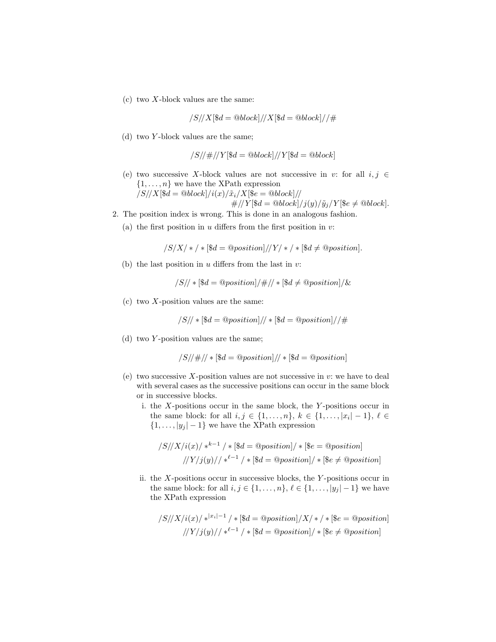$(c)$  two X-block values are the same:

$$
/S//X[\$d = @block]//X[\$d = @block]//\#
$$

(d) two Y -block values are the same;

$$
/S/\!/\#/\!/Y[\$d = @block]/\!/Y[\$d = @block]
$$

(e) two successive X-block values are not successive in v: for all  $i, j \in$  $\{1,\ldots,n\}$  we have the XPath expression  $/S/\!/X[\$d = \textcircled{a}block]/i(x)/\tilde{x}_i/X[\$e = \textcircled{b}block]/i$ 

$$
\#//Y[\$d = @block]/j(y)/\tilde{y}_j/Y[\$e \neq @block].
$$

- 2. The position index is wrong. This is done in an analogous fashion.
	- (a) the first position in  $u$  differs from the first position in  $v$ :

$$
/S/X/* /* [\$d = @position]/Y/* /* [\$d \neq @position].
$$

(b) the last position in  $u$  differs from the last in  $v$ :

$$
/S//*\left[ \$d=\textcircled{qposition} \right] / \# //*\left[ \$d\neq \textcircled{qposition} \right] / \&
$$

(c) two X-position values are the same:

$$
/S/\!/\ast [\$d = @position]/\!/\ast [\$d = @position]/\!/\#
$$

(d) two Y -position values are the same;

$$
|S|/\#/| * [\$d = @position]/| * [\$d = @position]
$$

- (e) two successive X-position values are not successive in  $v:$  we have to deal with several cases as the successive positions can occur in the same block or in successive blocks.
	- i. the X-positions occur in the same block, the Y -positions occur in the same block: for all  $i, j \in \{1, ..., n\}, k \in \{1, ..., |x_i| - 1\}, \ell \in$  $\{1,\ldots,|y_j|-1\}$  we have the XPath expression

$$
/S/\!/X/i(x)/*^{k-1}/*[\$d = @position]/*[\$e = @position]
$$
  

$$
/\!/Y/j(y)/*^{k-1}/*[\$d = @position] /*[\$e \neq @position]
$$

ii. the  $X$ -positions occur in successive blocks, the  $Y$ -positions occur in the same block: for all  $i, j \in \{1, ..., n\}, \ell \in \{1, ..., |y_j| - 1\}$  we have the XPath expression

$$
/S//X/i(x) \mid *^{|x_i|-1} \mid * [\$d = @position]/X \mid * \mid *\text{[$e = @position]}
$$
  

$$
//Y/j(y) \mid *^{l-1} \mid * [\$d = @position] \mid * [\$e \neq @position]
$$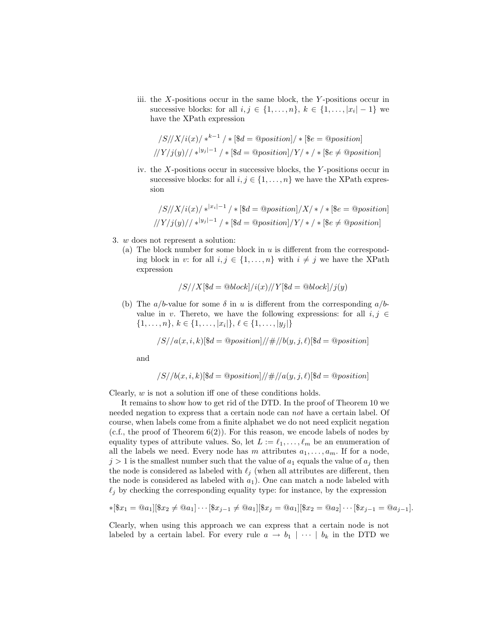iii. the  $X$ -positions occur in the same block, the  $Y$ -positions occur in successive blocks: for all  $i, j \in \{1, \ldots, n\}, k \in \{1, \ldots, |x_i| - 1\}$  we have the XPath expression

$$
/S//X/i(x)/*^{k-1}/* [\$d = @position]/* [\$e = @position]
$$
  

$$
//Y/j(y) // *^{|y_j|-1} /* [\$d = @position] / Y/* (* [\$e \neq @position]
$$

iv. the  $X$ -positions occur in successive blocks, the Y-positions occur in successive blocks: for all  $i, j \in \{1, ..., n\}$  we have the XPath expression

$$
/S//X/i(x) \mid *^{|x_i|-1} / * [\$d = @position]/X \mid * \mid *\$e = @position]
$$
  

$$
//Y/j(y) \mid *^{|y_j|-1} / * [\$d = @position]/Y \mid * \mid *\$e \neq @position]
$$

- 3. w does not represent a solution:
	- (a) The block number for some block in  $u$  is different from the corresponding block in v: for all  $i, j \in \{1, ..., n\}$  with  $i \neq j$  we have the XPath expression

$$
/S//X[\$d = \textcircled{block} //i(x) //Y[\$d = \textcircled{block} //j(y)
$$

(b) The  $a/b$ -value for some  $\delta$  in u is different from the corresponding  $a/b$ value in v. Thereto, we have the following expressions: for all  $i, j \in$  $\{1,\ldots,n\}, k \in \{1,\ldots,|x_i|\}, \ell \in \{1,\ldots,|y_i|\}$ 

$$
/S//a(x, i, k)[\$d = @position]/\#//b(y, j, \ell)[\$d = @position]
$$

and

$$
/S//b(x, i, k)[\$d = @position]/\#//a(y, j, \ell)[\$d = @position]
$$

Clearly, w is not a solution iff one of these conditions holds.

It remains to show how to get rid of the DTD. In the proof of Theorem 10 we needed negation to express that a certain node can *not* have a certain label. Of course, when labels come from a finite alphabet we do not need explicit negation  $(c.f., the proof of Theorem 6(2)).$  For this reason, we encode labels of nodes by equality types of attribute values. So, let  $L := \ell_1, \ldots, \ell_m$  be an enumeration of all the labels we need. Every node has m attributes  $a_1, \ldots, a_m$ . If for a node,  $j > 1$  is the smallest number such that the value of  $a_1$  equals the value of  $a_j$  then the node is considered as labeled with  $\ell_j$  (when all attributes are different, then the node is considered as labeled with  $a_1$ ). One can match a node labeled with  $\ell_j$  by checking the corresponding equality type: for instance, by the expression

$$
*[\$x_1 = @a_1][\$x_2 \neq @a_1] \cdots [\$x_{j-1} \neq @a_1][\$x_j = @a_1][\$x_2 = @a_2] \cdots [\$x_{j-1} = @a_{j-1}].
$$

Clearly, when using this approach we can express that a certain node is not labeled by a certain label. For every rule  $a \rightarrow b_1 \mid \cdots \mid b_k$  in the DTD we